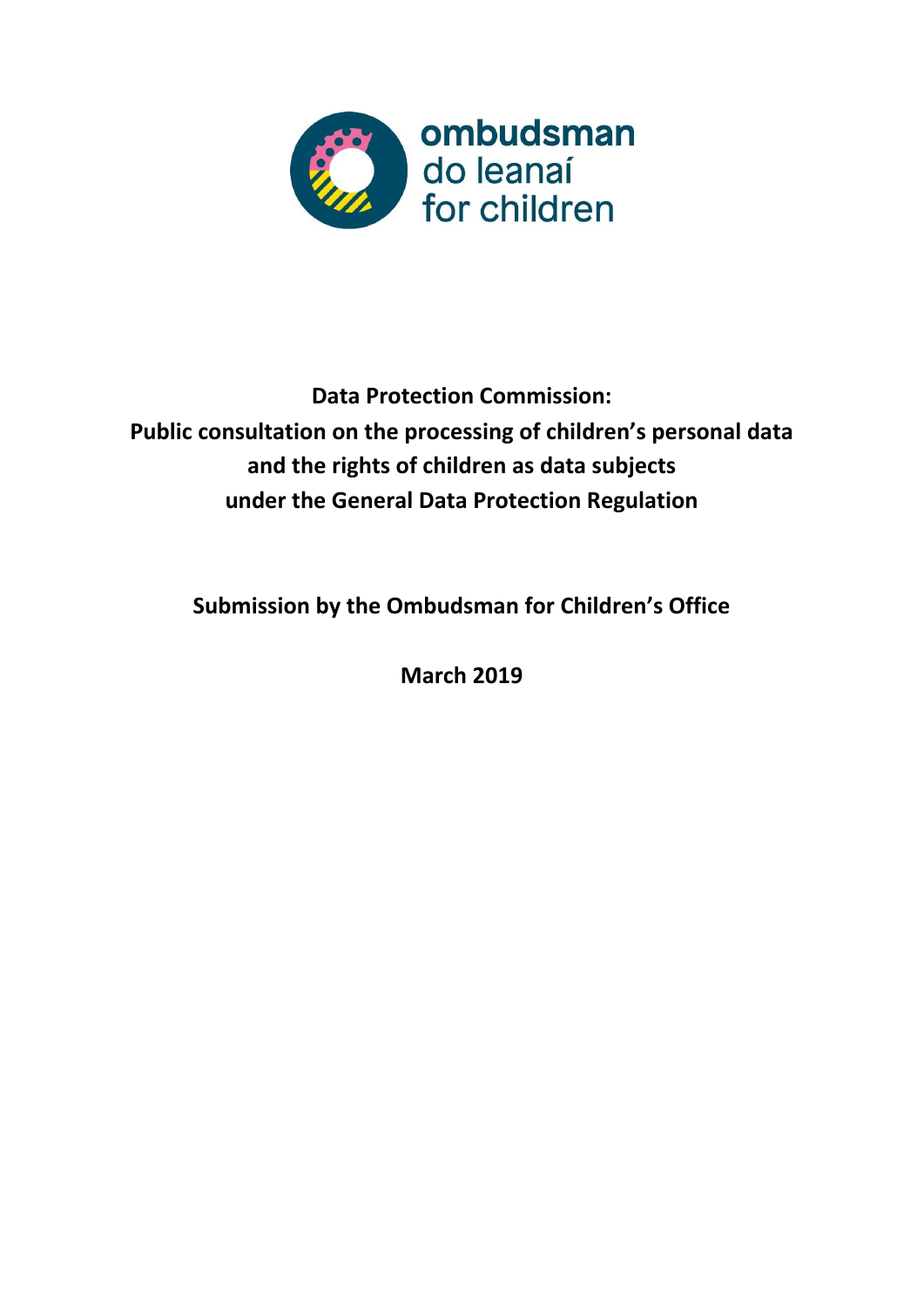

# **Data Protection Commission: Public consultation on the processing of children's personal data and the rights of children as data subjects under the General Data Protection Regulation**

**Submission by the Ombudsman for Children's Office**

**March 2019**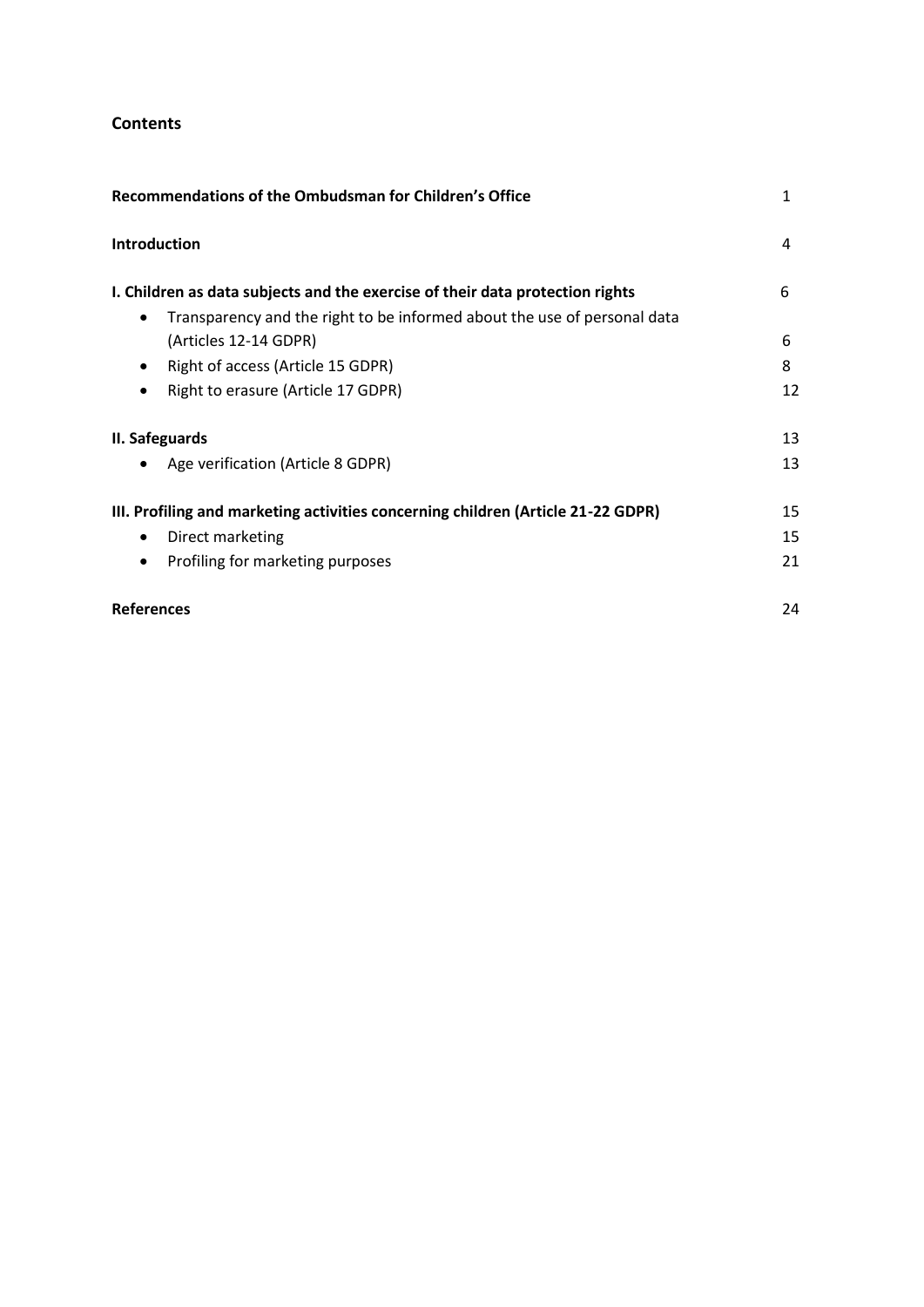# **Contents**

| Recommendations of the Ombudsman for Children's Office                                                                                                                 | 1  |
|------------------------------------------------------------------------------------------------------------------------------------------------------------------------|----|
| Introduction                                                                                                                                                           | 4  |
| I. Children as data subjects and the exercise of their data protection rights<br>Transparency and the right to be informed about the use of personal data<br>$\bullet$ | 6  |
| (Articles 12-14 GDPR)                                                                                                                                                  | 6  |
| Right of access (Article 15 GDPR)<br>$\bullet$                                                                                                                         | 8  |
| Right to erasure (Article 17 GDPR)                                                                                                                                     | 12 |
| II. Safeguards                                                                                                                                                         | 13 |
| Age verification (Article 8 GDPR)                                                                                                                                      | 13 |
| III. Profiling and marketing activities concerning children (Article 21-22 GDPR)                                                                                       | 15 |
| Direct marketing<br>$\bullet$                                                                                                                                          | 15 |
| Profiling for marketing purposes<br>$\bullet$                                                                                                                          | 21 |
| <b>References</b>                                                                                                                                                      | 24 |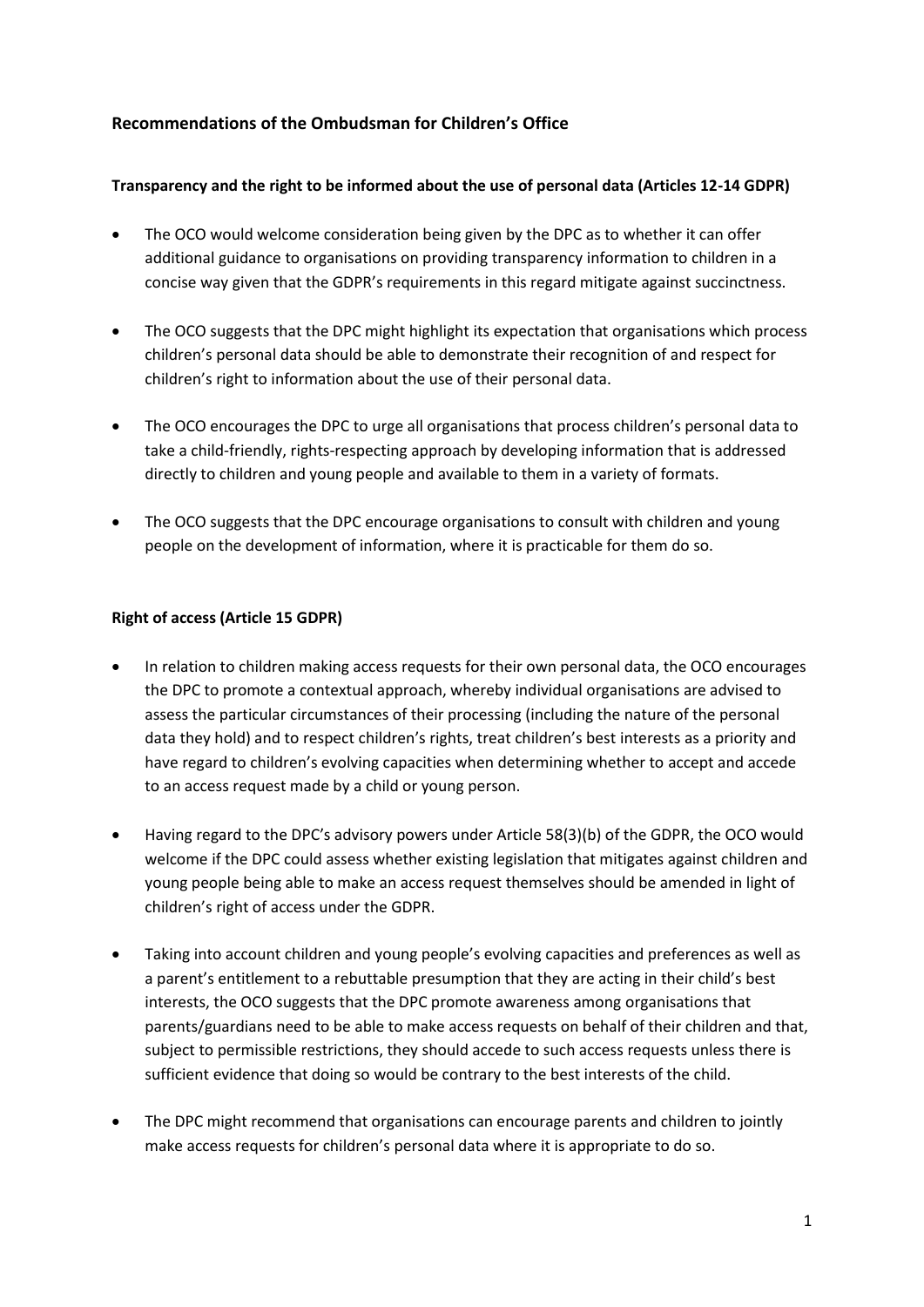# **Recommendations of the Ombudsman for Children's Office**

## **Transparency and the right to be informed about the use of personal data (Articles 12-14 GDPR)**

- The OCO would welcome consideration being given by the DPC as to whether it can offer additional guidance to organisations on providing transparency information to children in a concise way given that the GDPR's requirements in this regard mitigate against succinctness.
- The OCO suggests that the DPC might highlight its expectation that organisations which process children's personal data should be able to demonstrate their recognition of and respect for children's right to information about the use of their personal data.
- The OCO encourages the DPC to urge all organisations that process children's personal data to take a child-friendly, rights-respecting approach by developing information that is addressed directly to children and young people and available to them in a variety of formats.
- The OCO suggests that the DPC encourage organisations to consult with children and young people on the development of information, where it is practicable for them do so.

## **Right of access (Article 15 GDPR)**

- In relation to children making access requests for their own personal data, the OCO encourages the DPC to promote a contextual approach, whereby individual organisations are advised to assess the particular circumstances of their processing (including the nature of the personal data they hold) and to respect children's rights, treat children's best interests as a priority and have regard to children's evolving capacities when determining whether to accept and accede to an access request made by a child or young person.
- Having regard to the DPC's advisory powers under Article 58(3)(b) of the GDPR, the OCO would welcome if the DPC could assess whether existing legislation that mitigates against children and young people being able to make an access request themselves should be amended in light of children's right of access under the GDPR.
- Taking into account children and young people's evolving capacities and preferences as well as a parent's entitlement to a rebuttable presumption that they are acting in their child's best interests, the OCO suggests that the DPC promote awareness among organisations that parents/guardians need to be able to make access requests on behalf of their children and that, subject to permissible restrictions, they should accede to such access requests unless there is sufficient evidence that doing so would be contrary to the best interests of the child.
- The DPC might recommend that organisations can encourage parents and children to jointly make access requests for children's personal data where it is appropriate to do so.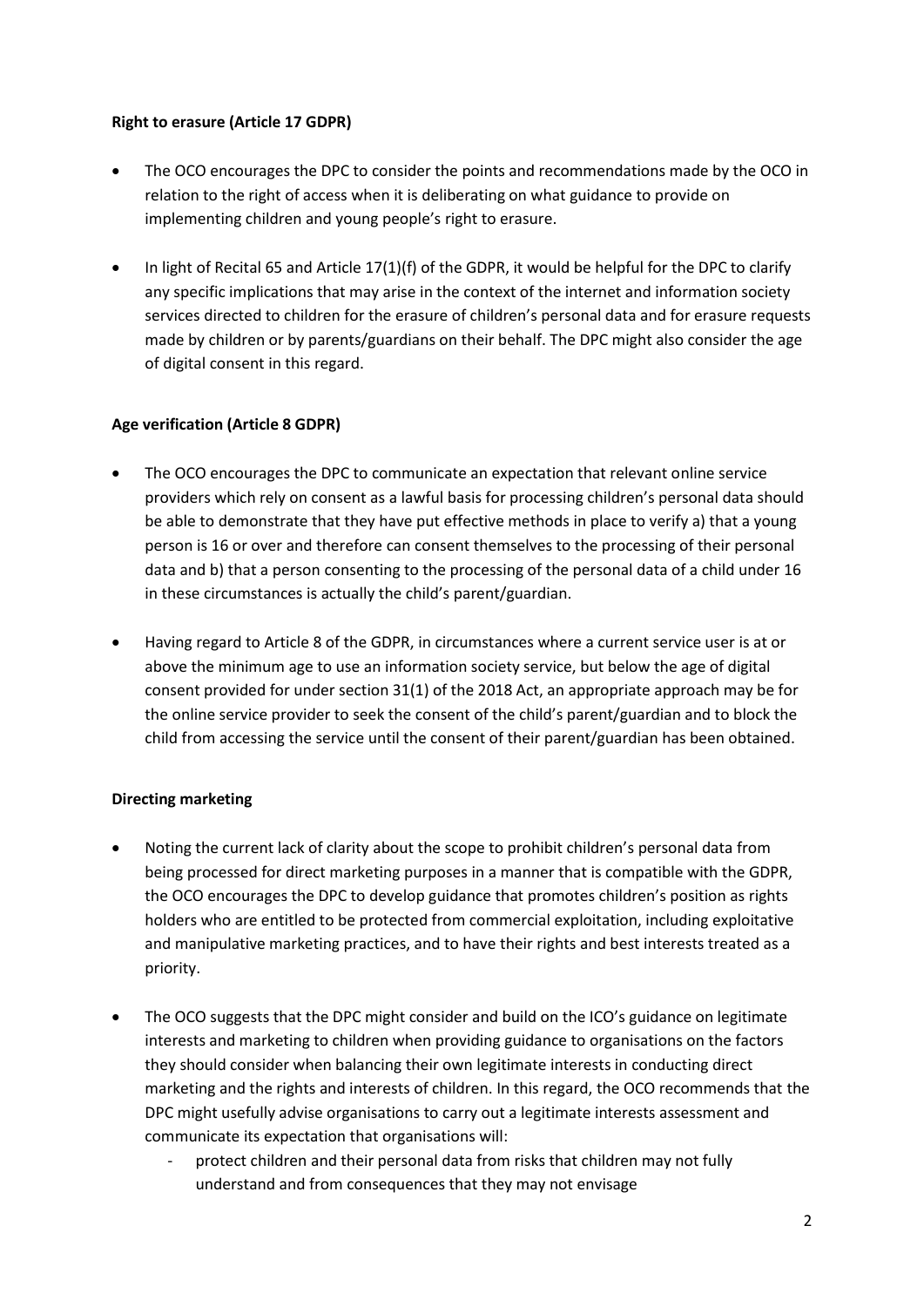## **Right to erasure (Article 17 GDPR)**

- The OCO encourages the DPC to consider the points and recommendations made by the OCO in relation to the right of access when it is deliberating on what guidance to provide on implementing children and young people's right to erasure.
- In light of Recital 65 and Article 17(1)(f) of the GDPR, it would be helpful for the DPC to clarify any specific implications that may arise in the context of the internet and information society services directed to children for the erasure of children's personal data and for erasure requests made by children or by parents/guardians on their behalf. The DPC might also consider the age of digital consent in this regard.

## **Age verification (Article 8 GDPR)**

- The OCO encourages the DPC to communicate an expectation that relevant online service providers which rely on consent as a lawful basis for processing children's personal data should be able to demonstrate that they have put effective methods in place to verify a) that a young person is 16 or over and therefore can consent themselves to the processing of their personal data and b) that a person consenting to the processing of the personal data of a child under 16 in these circumstances is actually the child's parent/guardian.
- Having regard to Article 8 of the GDPR, in circumstances where a current service user is at or above the minimum age to use an information society service, but below the age of digital consent provided for under section 31(1) of the 2018 Act, an appropriate approach may be for the online service provider to seek the consent of the child's parent/guardian and to block the child from accessing the service until the consent of their parent/guardian has been obtained.

## **Directing marketing**

- Noting the current lack of clarity about the scope to prohibit children's personal data from being processed for direct marketing purposes in a manner that is compatible with the GDPR, the OCO encourages the DPC to develop guidance that promotes children's position as rights holders who are entitled to be protected from commercial exploitation, including exploitative and manipulative marketing practices, and to have their rights and best interests treated as a priority.
- The OCO suggests that the DPC might consider and build on the ICO's guidance on legitimate interests and marketing to children when providing guidance to organisations on the factors they should consider when balancing their own legitimate interests in conducting direct marketing and the rights and interests of children. In this regard, the OCO recommends that the DPC might usefully advise organisations to carry out a legitimate interests assessment and communicate its expectation that organisations will:
	- protect children and their personal data from risks that children may not fully understand and from consequences that they may not envisage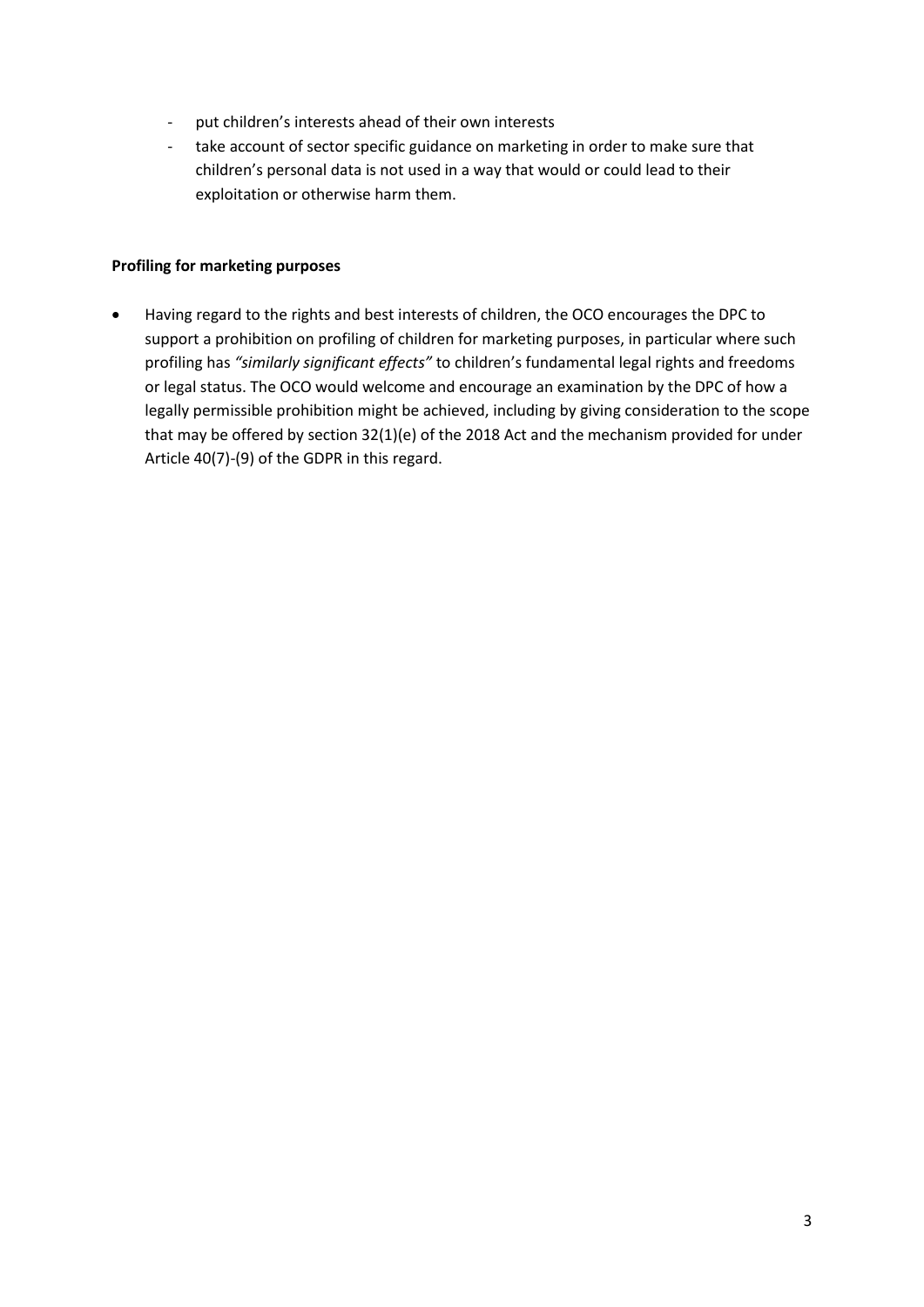- put children's interests ahead of their own interests
- take account of sector specific guidance on marketing in order to make sure that children's personal data is not used in a way that would or could lead to their exploitation or otherwise harm them.

#### **Profiling for marketing purposes**

 Having regard to the rights and best interests of children, the OCO encourages the DPC to support a prohibition on profiling of children for marketing purposes, in particular where such profiling has *"similarly significant effects"* to children's fundamental legal rights and freedoms or legal status. The OCO would welcome and encourage an examination by the DPC of how a legally permissible prohibition might be achieved, including by giving consideration to the scope that may be offered by section 32(1)(e) of the 2018 Act and the mechanism provided for under Article 40(7)-(9) of the GDPR in this regard.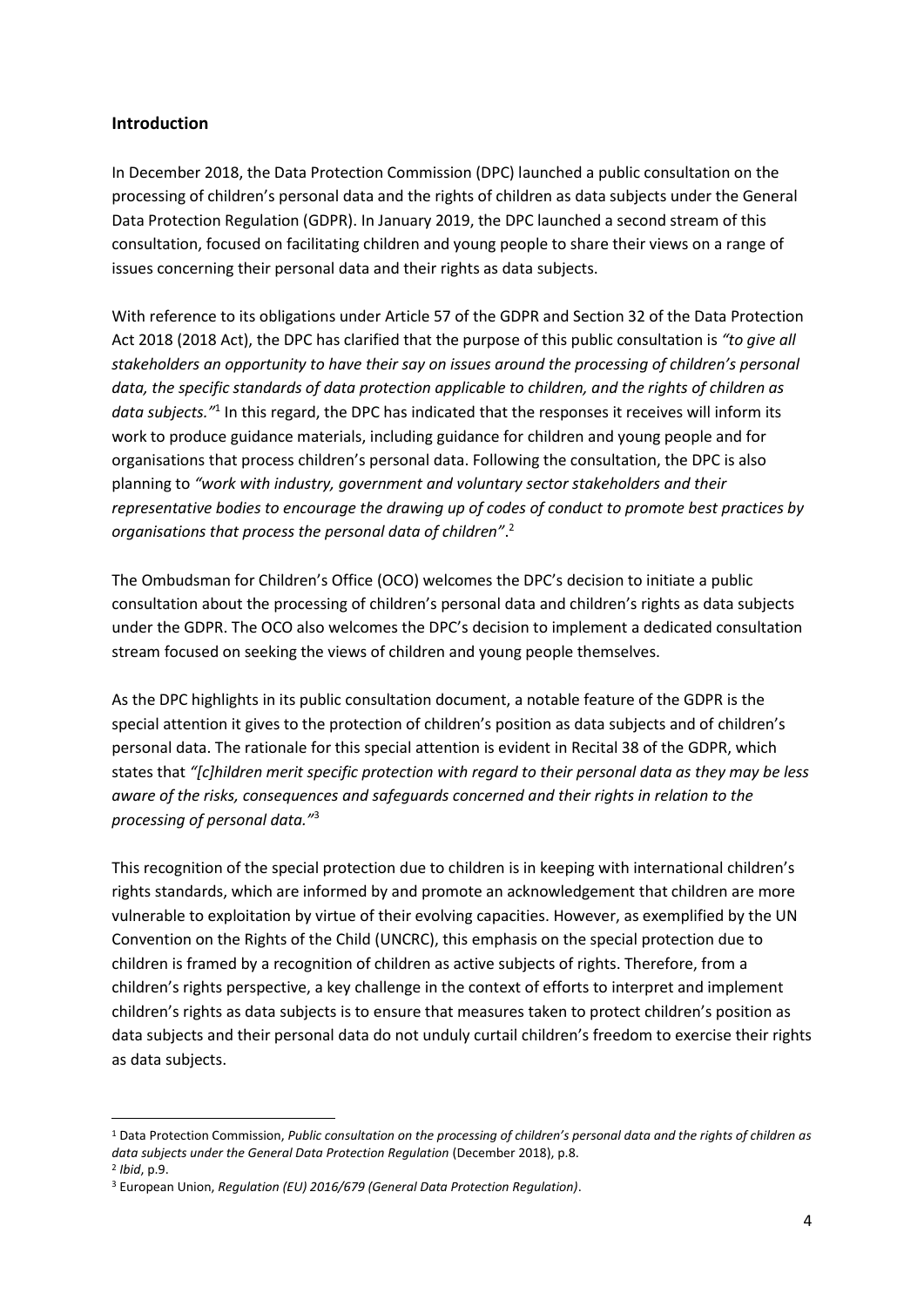## **Introduction**

1

In December 2018, the Data Protection Commission (DPC) launched a public consultation on the processing of children's personal data and the rights of children as data subjects under the General Data Protection Regulation (GDPR). In January 2019, the DPC launched a second stream of this consultation, focused on facilitating children and young people to share their views on a range of issues concerning their personal data and their rights as data subjects.

With reference to its obligations under Article 57 of the GDPR and Section 32 of the Data Protection Act 2018 (2018 Act), the DPC has clarified that the purpose of this public consultation is *"to give all stakeholders an opportunity to have their say on issues around the processing of children's personal data, the specific standards of data protection applicable to children, and the rights of children as*  data subjects.<sup>"1</sup> In this regard, the DPC has indicated that the responses it receives will inform its work to produce guidance materials, including guidance for children and young people and for organisations that process children's personal data. Following the consultation, the DPC is also planning to *"work with industry, government and voluntary sector stakeholders and their representative bodies to encourage the drawing up of codes of conduct to promote best practices by organisations that process the personal data of children"*. 2

The Ombudsman for Children's Office (OCO) welcomes the DPC's decision to initiate a public consultation about the processing of children's personal data and children's rights as data subjects under the GDPR. The OCO also welcomes the DPC's decision to implement a dedicated consultation stream focused on seeking the views of children and young people themselves.

As the DPC highlights in its public consultation document, a notable feature of the GDPR is the special attention it gives to the protection of children's position as data subjects and of children's personal data. The rationale for this special attention is evident in Recital 38 of the GDPR, which states that *"[c]hildren merit specific protection with regard to their personal data as they may be less aware of the risks, consequences and safeguards concerned and their rights in relation to the processing of personal data."*<sup>3</sup>

This recognition of the special protection due to children is in keeping with international children's rights standards, which are informed by and promote an acknowledgement that children are more vulnerable to exploitation by virtue of their evolving capacities. However, as exemplified by the UN Convention on the Rights of the Child (UNCRC), this emphasis on the special protection due to children is framed by a recognition of children as active subjects of rights. Therefore, from a children's rights perspective, a key challenge in the context of efforts to interpret and implement children's rights as data subjects is to ensure that measures taken to protect children's position as data subjects and their personal data do not unduly curtail children's freedom to exercise their rights as data subjects.

<sup>1</sup> Data Protection Commission, *Public consultation on the processing of children's personal data and the rights of children as data subjects under the General Data Protection Regulation* (December 2018), p.8. 2 *Ibid*, p.9.

<sup>3</sup> European Union, *Regulation (EU) 2016/679 (General Data Protection Regulation)*.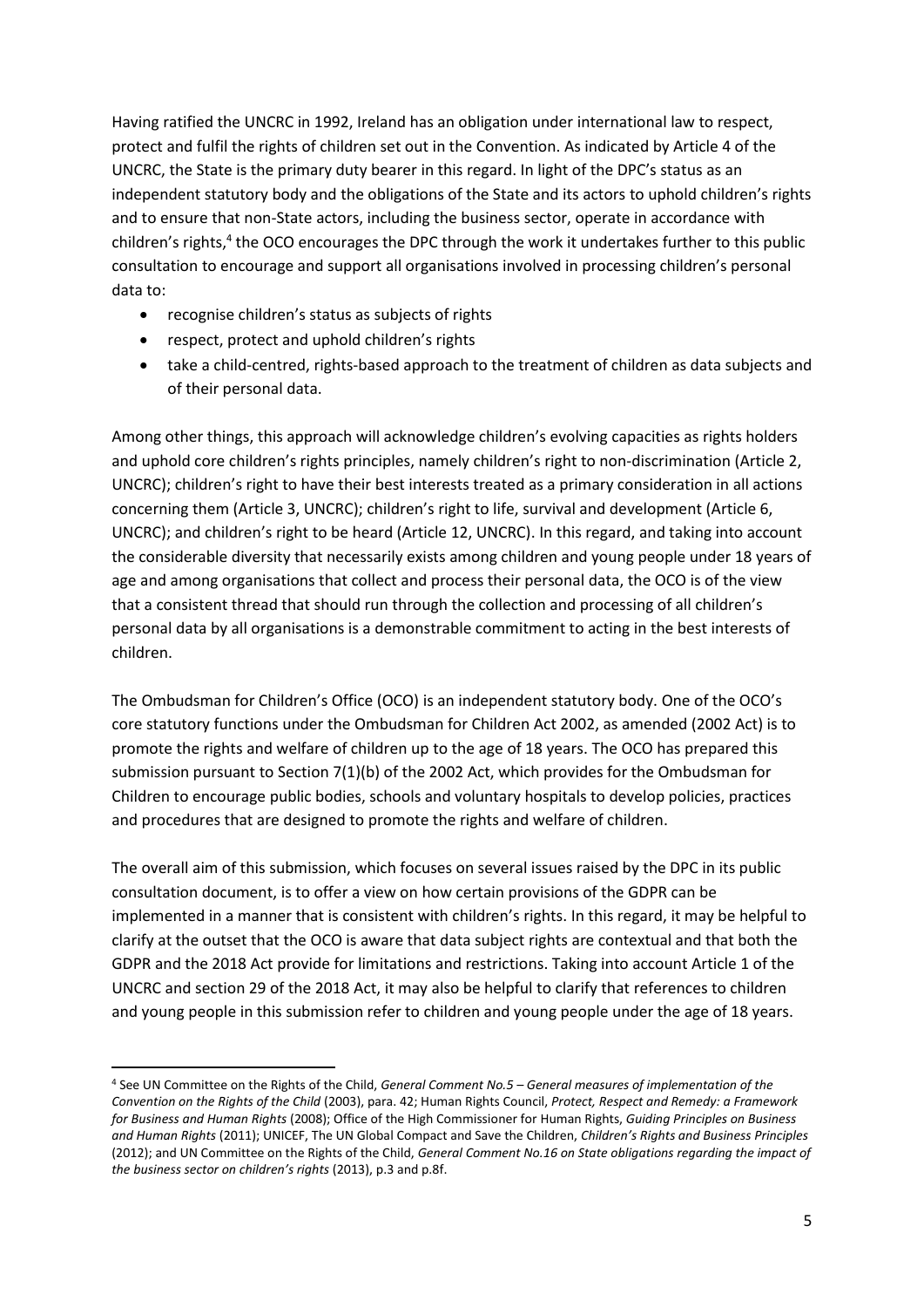Having ratified the UNCRC in 1992, Ireland has an obligation under international law to respect, protect and fulfil the rights of children set out in the Convention. As indicated by Article 4 of the UNCRC, the State is the primary duty bearer in this regard. In light of the DPC's status as an independent statutory body and the obligations of the State and its actors to uphold children's rights and to ensure that non-State actors, including the business sector, operate in accordance with children's rights,<sup>4</sup> the OCO encourages the DPC through the work it undertakes further to this public consultation to encourage and support all organisations involved in processing children's personal data to:

- recognise children's status as subjects of rights
- respect, protect and uphold children's rights

1

 take a child-centred, rights-based approach to the treatment of children as data subjects and of their personal data.

Among other things, this approach will acknowledge children's evolving capacities as rights holders and uphold core children's rights principles, namely children's right to non-discrimination (Article 2, UNCRC); children's right to have their best interests treated as a primary consideration in all actions concerning them (Article 3, UNCRC); children's right to life, survival and development (Article 6, UNCRC); and children's right to be heard (Article 12, UNCRC). In this regard, and taking into account the considerable diversity that necessarily exists among children and young people under 18 years of age and among organisations that collect and process their personal data, the OCO is of the view that a consistent thread that should run through the collection and processing of all children's personal data by all organisations is a demonstrable commitment to acting in the best interests of children.

The Ombudsman for Children's Office (OCO) is an independent statutory body. One of the OCO's core statutory functions under the Ombudsman for Children Act 2002, as amended (2002 Act) is to promote the rights and welfare of children up to the age of 18 years. The OCO has prepared this submission pursuant to Section 7(1)(b) of the 2002 Act, which provides for the Ombudsman for Children to encourage public bodies, schools and voluntary hospitals to develop policies, practices and procedures that are designed to promote the rights and welfare of children.

The overall aim of this submission, which focuses on several issues raised by the DPC in its public consultation document, is to offer a view on how certain provisions of the GDPR can be implemented in a manner that is consistent with children's rights. In this regard, it may be helpful to clarify at the outset that the OCO is aware that data subject rights are contextual and that both the GDPR and the 2018 Act provide for limitations and restrictions. Taking into account Article 1 of the UNCRC and section 29 of the 2018 Act, it may also be helpful to clarify that references to children and young people in this submission refer to children and young people under the age of 18 years.

<sup>4</sup> See UN Committee on the Rights of the Child, *General Comment No.5 – General measures of implementation of the Convention on the Rights of the Child* (2003), para. 42; Human Rights Council, *Protect, Respect and Remedy: a Framework for Business and Human Rights* (2008); Office of the High Commissioner for Human Rights, *Guiding Principles on Business and Human Rights* (2011); UNICEF, The UN Global Compact and Save the Children, *Children's Rights and Business Principles* (2012); and UN Committee on the Rights of the Child, *General Comment No.16 on State obligations regarding the impact of the business sector on children's rights* (2013), p.3 and p.8f.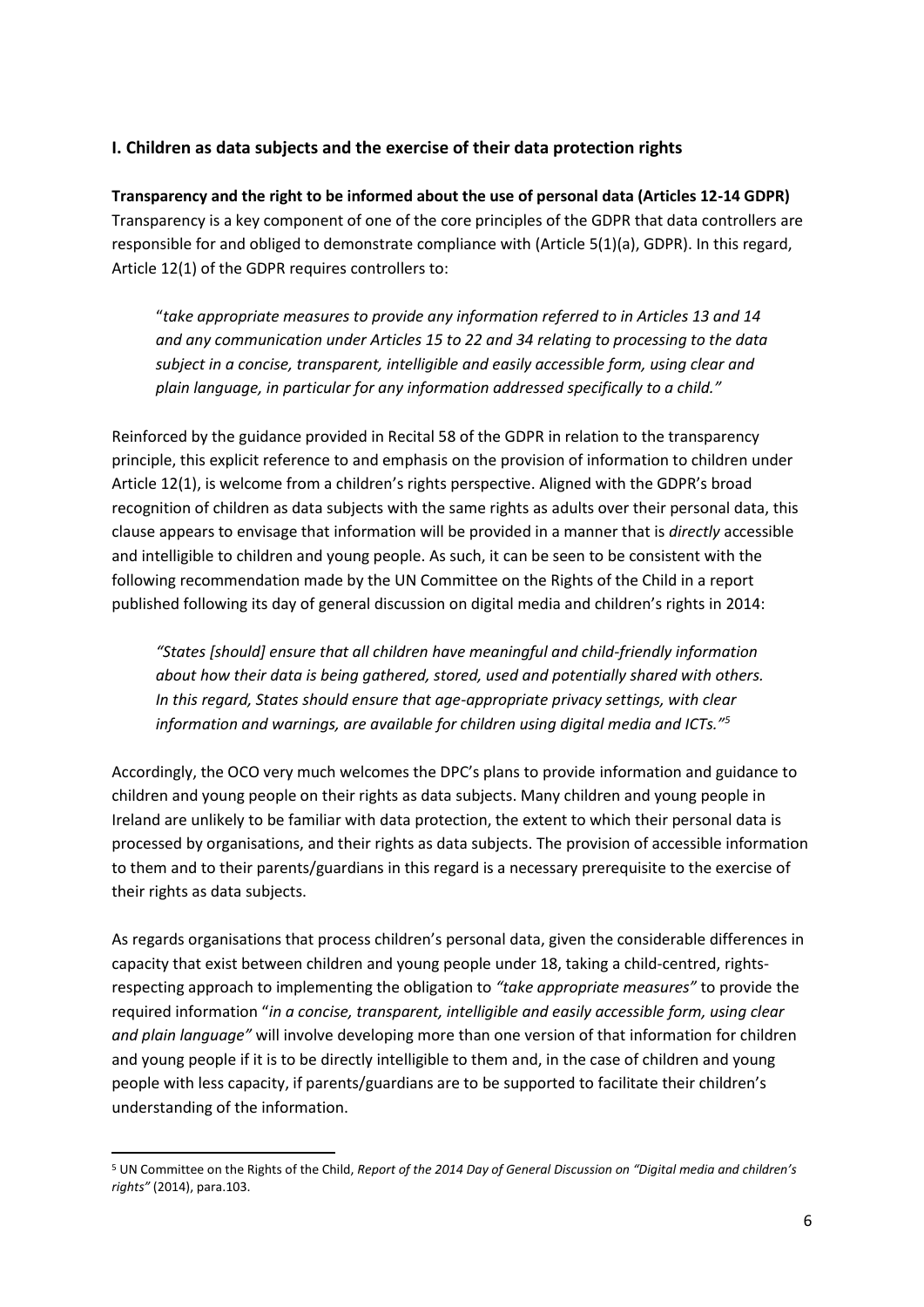# **I. Children as data subjects and the exercise of their data protection rights**

**Transparency and the right to be informed about the use of personal data (Articles 12-14 GDPR)** Transparency is a key component of one of the core principles of the GDPR that data controllers are responsible for and obliged to demonstrate compliance with (Article 5(1)(a), GDPR). In this regard, Article 12(1) of the GDPR requires controllers to:

"*take appropriate measures to provide any information referred to in Articles 13 and 14 and any communication under Articles 15 to 22 and 34 relating to processing to the data subject in a concise, transparent, intelligible and easily accessible form, using clear and plain language, in particular for any information addressed specifically to a child."*

Reinforced by the guidance provided in Recital 58 of the GDPR in relation to the transparency principle, this explicit reference to and emphasis on the provision of information to children under Article 12(1), is welcome from a children's rights perspective. Aligned with the GDPR's broad recognition of children as data subjects with the same rights as adults over their personal data, this clause appears to envisage that information will be provided in a manner that is *directly* accessible and intelligible to children and young people. As such, it can be seen to be consistent with the following recommendation made by the UN Committee on the Rights of the Child in a report published following its day of general discussion on digital media and children's rights in 2014:

*"States [should] ensure that all children have meaningful and child-friendly information about how their data is being gathered, stored, used and potentially shared with others. In this regard, States should ensure that age-appropriate privacy settings, with clear information and warnings, are available for children using digital media and ICTs."<sup>5</sup>*

Accordingly, the OCO very much welcomes the DPC's plans to provide information and guidance to children and young people on their rights as data subjects. Many children and young people in Ireland are unlikely to be familiar with data protection, the extent to which their personal data is processed by organisations, and their rights as data subjects. The provision of accessible information to them and to their parents/guardians in this regard is a necessary prerequisite to the exercise of their rights as data subjects.

As regards organisations that process children's personal data, given the considerable differences in capacity that exist between children and young people under 18, taking a child-centred, rightsrespecting approach to implementing the obligation to *"take appropriate measures"* to provide the required information "*in a concise, transparent, intelligible and easily accessible form, using clear and plain language"* will involve developing more than one version of that information for children and young people if it is to be directly intelligible to them and, in the case of children and young people with less capacity, if parents/guardians are to be supported to facilitate their children's understanding of the information.

<sup>5</sup> UN Committee on the Rights of the Child, *Report of the 2014 Day of General Discussion on "Digital media and children's rights"* (2014), para.103.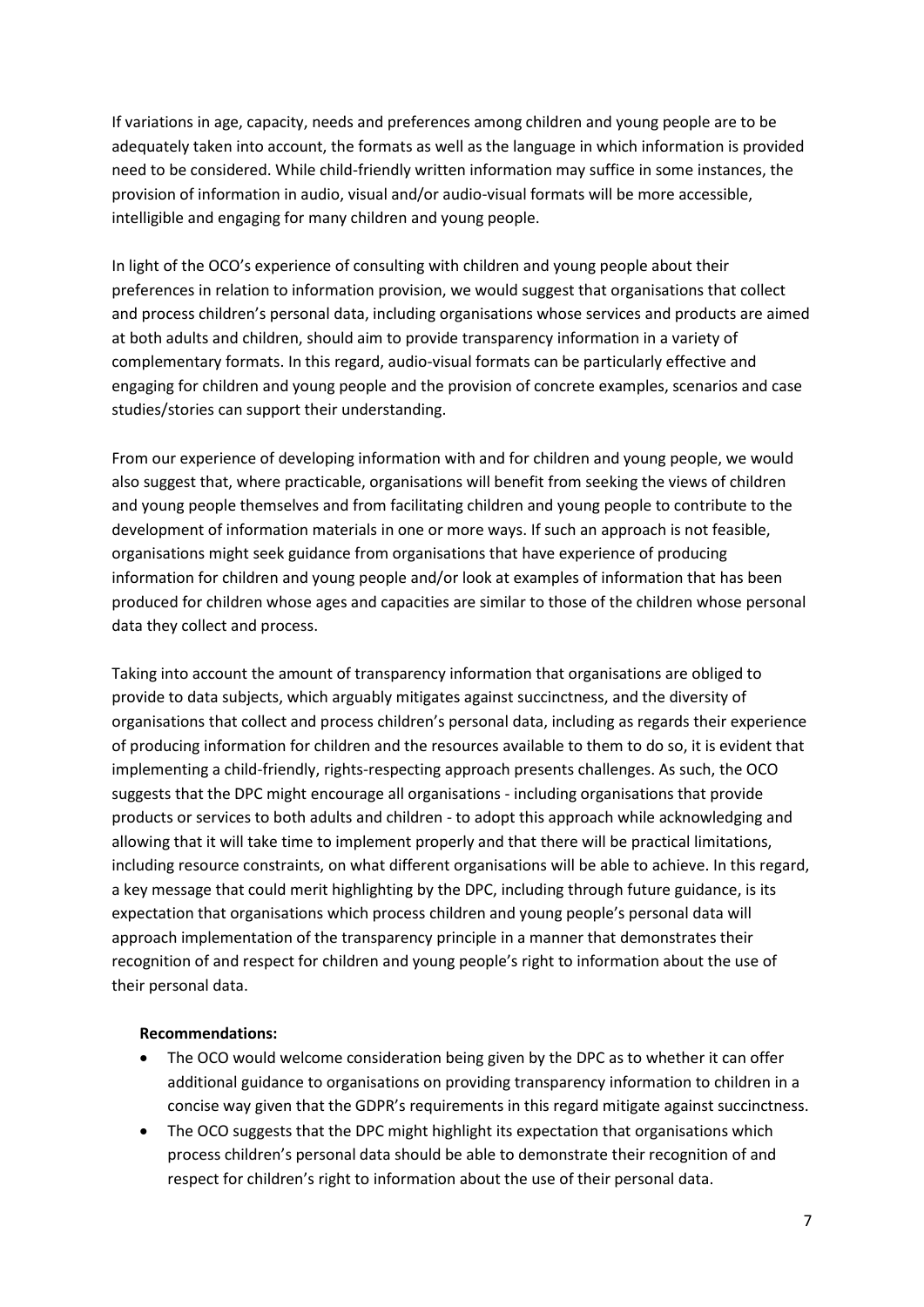If variations in age, capacity, needs and preferences among children and young people are to be adequately taken into account, the formats as well as the language in which information is provided need to be considered. While child-friendly written information may suffice in some instances, the provision of information in audio, visual and/or audio-visual formats will be more accessible, intelligible and engaging for many children and young people.

In light of the OCO's experience of consulting with children and young people about their preferences in relation to information provision, we would suggest that organisations that collect and process children's personal data, including organisations whose services and products are aimed at both adults and children, should aim to provide transparency information in a variety of complementary formats. In this regard, audio-visual formats can be particularly effective and engaging for children and young people and the provision of concrete examples, scenarios and case studies/stories can support their understanding.

From our experience of developing information with and for children and young people, we would also suggest that, where practicable, organisations will benefit from seeking the views of children and young people themselves and from facilitating children and young people to contribute to the development of information materials in one or more ways. If such an approach is not feasible, organisations might seek guidance from organisations that have experience of producing information for children and young people and/or look at examples of information that has been produced for children whose ages and capacities are similar to those of the children whose personal data they collect and process.

Taking into account the amount of transparency information that organisations are obliged to provide to data subjects, which arguably mitigates against succinctness, and the diversity of organisations that collect and process children's personal data, including as regards their experience of producing information for children and the resources available to them to do so, it is evident that implementing a child-friendly, rights-respecting approach presents challenges. As such, the OCO suggests that the DPC might encourage all organisations - including organisations that provide products or services to both adults and children - to adopt this approach while acknowledging and allowing that it will take time to implement properly and that there will be practical limitations, including resource constraints, on what different organisations will be able to achieve. In this regard, a key message that could merit highlighting by the DPC, including through future guidance, is its expectation that organisations which process children and young people's personal data will approach implementation of the transparency principle in a manner that demonstrates their recognition of and respect for children and young people's right to information about the use of their personal data.

#### **Recommendations:**

- The OCO would welcome consideration being given by the DPC as to whether it can offer additional guidance to organisations on providing transparency information to children in a concise way given that the GDPR's requirements in this regard mitigate against succinctness.
- The OCO suggests that the DPC might highlight its expectation that organisations which process children's personal data should be able to demonstrate their recognition of and respect for children's right to information about the use of their personal data.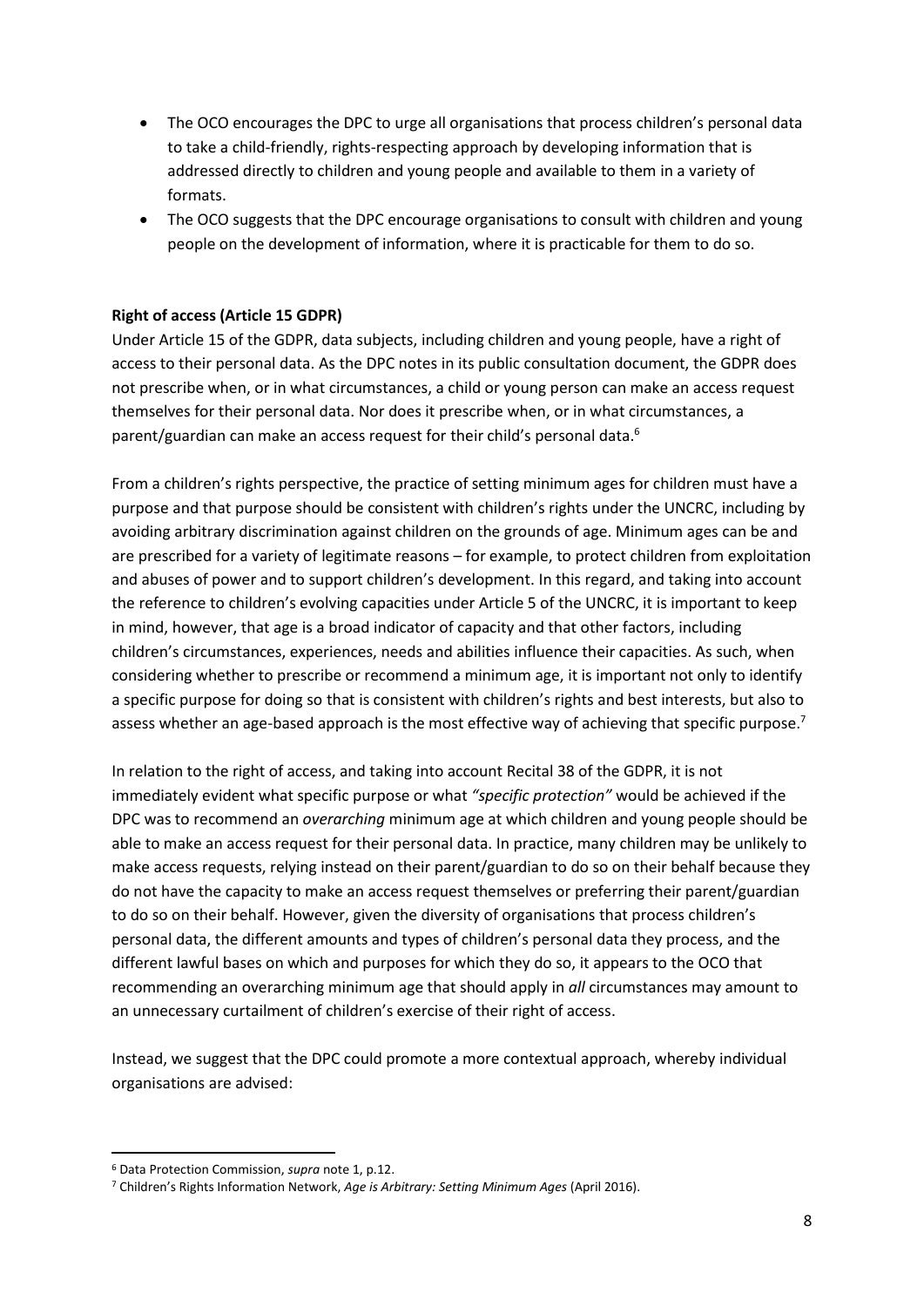- The OCO encourages the DPC to urge all organisations that process children's personal data to take a child-friendly, rights-respecting approach by developing information that is addressed directly to children and young people and available to them in a variety of formats.
- The OCO suggests that the DPC encourage organisations to consult with children and young people on the development of information, where it is practicable for them to do so.

#### **Right of access (Article 15 GDPR)**

Under Article 15 of the GDPR, data subjects, including children and young people, have a right of access to their personal data. As the DPC notes in its public consultation document, the GDPR does not prescribe when, or in what circumstances, a child or young person can make an access request themselves for their personal data. Nor does it prescribe when, or in what circumstances, a parent/guardian can make an access request for their child's personal data.<sup>6</sup>

From a children's rights perspective, the practice of setting minimum ages for children must have a purpose and that purpose should be consistent with children's rights under the UNCRC, including by avoiding arbitrary discrimination against children on the grounds of age. Minimum ages can be and are prescribed for a variety of legitimate reasons – for example, to protect children from exploitation and abuses of power and to support children's development. In this regard, and taking into account the reference to children's evolving capacities under Article 5 of the UNCRC, it is important to keep in mind, however, that age is a broad indicator of capacity and that other factors, including children's circumstances, experiences, needs and abilities influence their capacities. As such, when considering whether to prescribe or recommend a minimum age, it is important not only to identify a specific purpose for doing so that is consistent with children's rights and best interests, but also to assess whether an age-based approach is the most effective way of achieving that specific purpose.<sup>7</sup>

In relation to the right of access, and taking into account Recital 38 of the GDPR, it is not immediately evident what specific purpose or what *"specific protection"* would be achieved if the DPC was to recommend an *overarching* minimum age at which children and young people should be able to make an access request for their personal data. In practice, many children may be unlikely to make access requests, relying instead on their parent/guardian to do so on their behalf because they do not have the capacity to make an access request themselves or preferring their parent/guardian to do so on their behalf. However, given the diversity of organisations that process children's personal data, the different amounts and types of children's personal data they process, and the different lawful bases on which and purposes for which they do so, it appears to the OCO that recommending an overarching minimum age that should apply in *all* circumstances may amount to an unnecessary curtailment of children's exercise of their right of access.

Instead, we suggest that the DPC could promote a more contextual approach, whereby individual organisations are advised:

<sup>6</sup> Data Protection Commission, *supra* note 1, p.12.

<sup>7</sup> Children's Rights Information Network, *Age is Arbitrary: Setting Minimum Ages* (April 2016).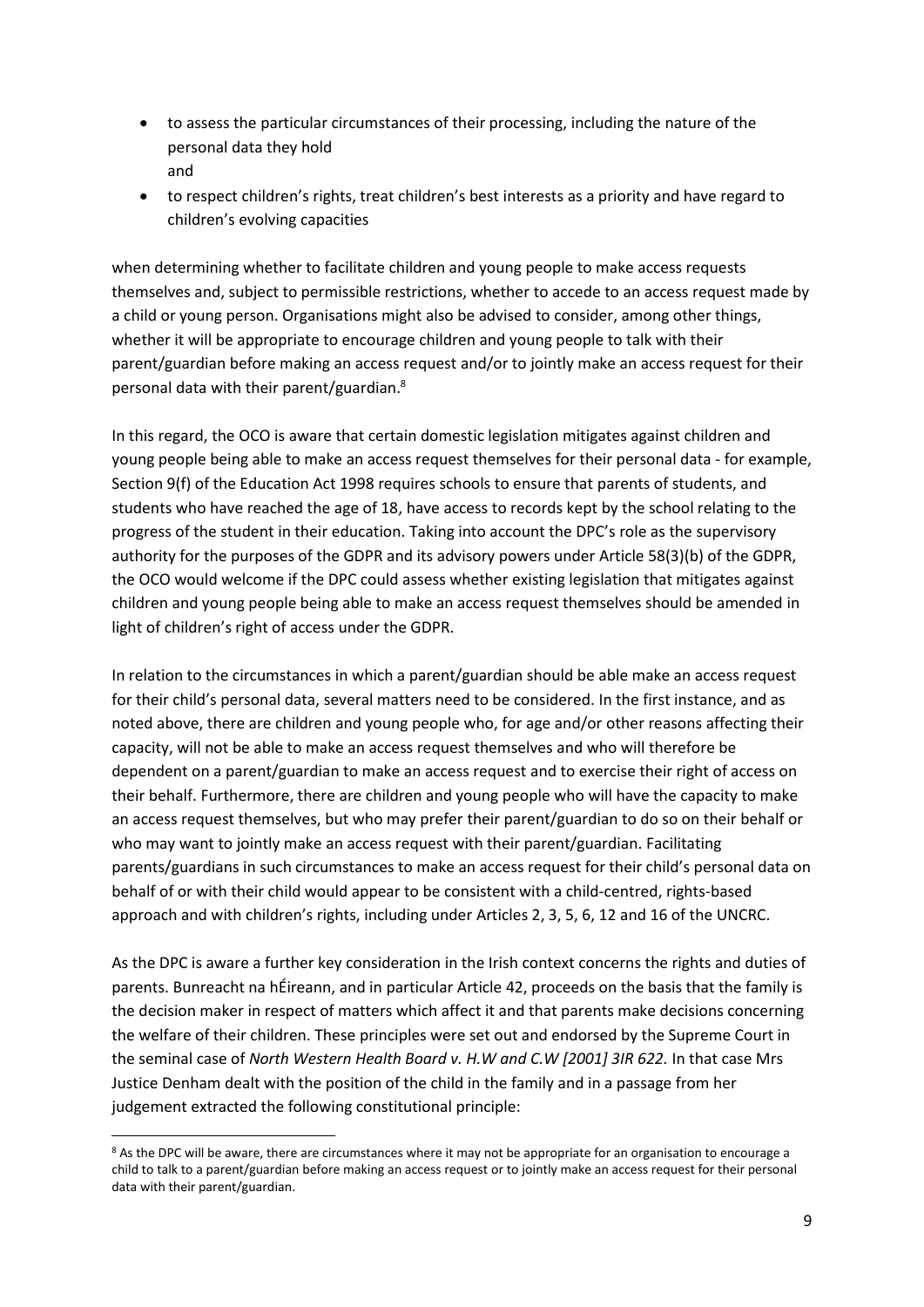- to assess the particular circumstances of their processing, including the nature of the personal data they hold and
- to respect children's rights, treat children's best interests as a priority and have regard to children's evolving capacities

when determining whether to facilitate children and young people to make access requests themselves and, subject to permissible restrictions, whether to accede to an access request made by a child or young person. Organisations might also be advised to consider, among other things, whether it will be appropriate to encourage children and young people to talk with their parent/guardian before making an access request and/or to jointly make an access request for their personal data with their parent/guardian. 8

In this regard, the OCO is aware that certain domestic legislation mitigates against children and young people being able to make an access request themselves for their personal data - for example, Section 9(f) of the Education Act 1998 requires schools to ensure that parents of students, and students who have reached the age of 18, have access to records kept by the school relating to the progress of the student in their education. Taking into account the DPC's role as the supervisory authority for the purposes of the GDPR and its advisory powers under Article 58(3)(b) of the GDPR, the OCO would welcome if the DPC could assess whether existing legislation that mitigates against children and young people being able to make an access request themselves should be amended in light of children's right of access under the GDPR.

In relation to the circumstances in which a parent/guardian should be able make an access request for their child's personal data, several matters need to be considered. In the first instance, and as noted above, there are children and young people who, for age and/or other reasons affecting their capacity, will not be able to make an access request themselves and who will therefore be dependent on a parent/guardian to make an access request and to exercise their right of access on their behalf. Furthermore, there are children and young people who will have the capacity to make an access request themselves, but who may prefer their parent/guardian to do so on their behalf or who may want to jointly make an access request with their parent/guardian. Facilitating parents/guardians in such circumstances to make an access request for their child's personal data on behalf of or with their child would appear to be consistent with a child-centred, rights-based approach and with children's rights, including under Articles 2, 3, 5, 6, 12 and 16 of the UNCRC.

As the DPC is aware a further key consideration in the Irish context concerns the rights and duties of parents. Bunreacht na hÉireann, and in particular Article 42, proceeds on the basis that the family is the decision maker in respect of matters which affect it and that parents make decisions concerning the welfare of their children. These principles were set out and endorsed by the Supreme Court in the seminal case of *North Western Health Board v. H.W and C.W [2001] 3IR 622.* In that case Mrs Justice Denham dealt with the position of the child in the family and in a passage from her judgement extracted the following constitutional principle:

<sup>&</sup>lt;sup>8</sup> As the DPC will be aware, there are circumstances where it may not be appropriate for an organisation to encourage a child to talk to a parent/guardian before making an access request or to jointly make an access request for their personal data with their parent/guardian.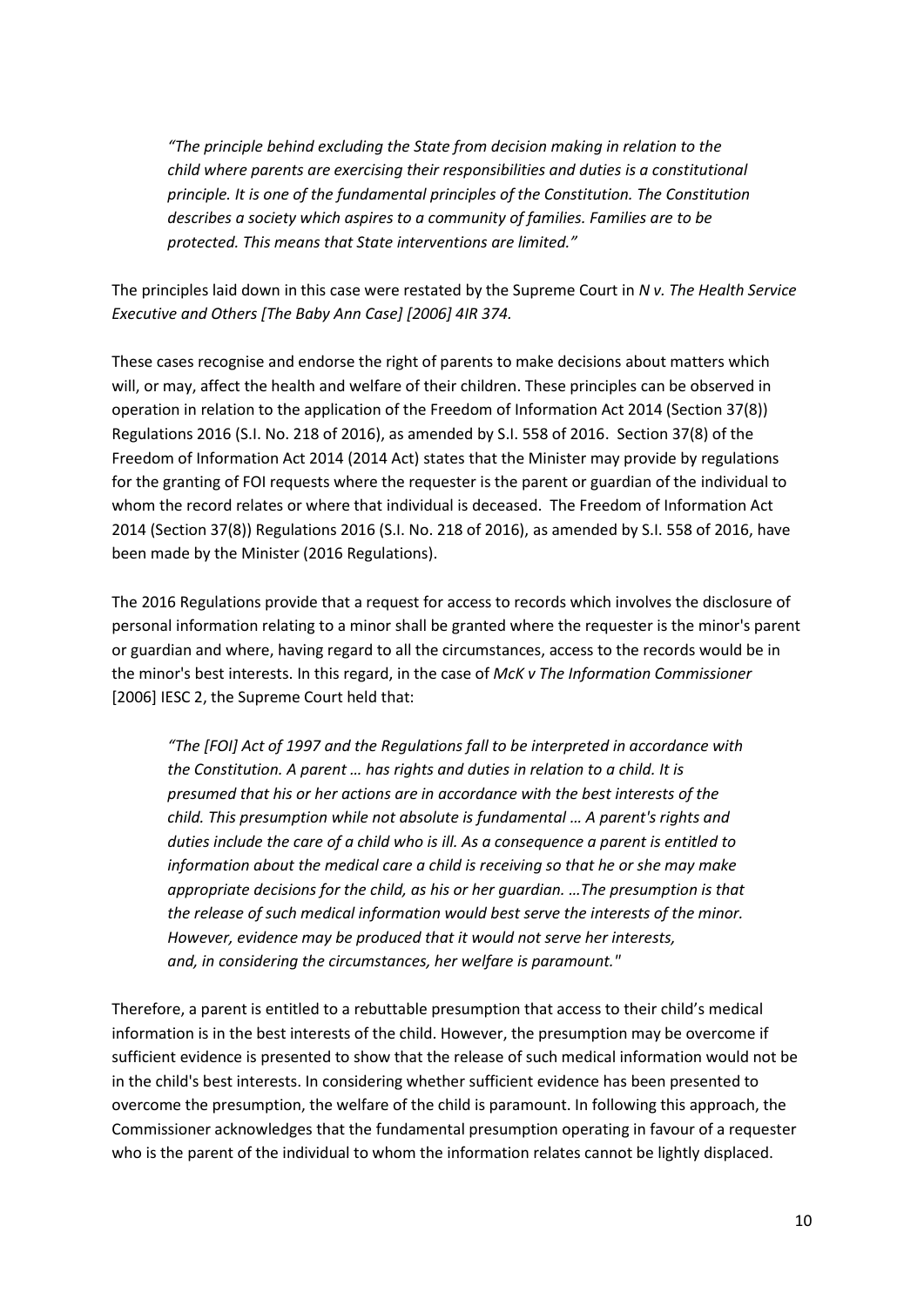*"The principle behind excluding the State from decision making in relation to the child where parents are exercising their responsibilities and duties is a constitutional principle. It is one of the fundamental principles of the Constitution. The Constitution describes a society which aspires to a community of families. Families are to be protected. This means that State interventions are limited."*

The principles laid down in this case were restated by the Supreme Court in *N v. The Health Service Executive and Others [The Baby Ann Case] [2006] 4IR 374.* 

These cases recognise and endorse the right of parents to make decisions about matters which will, or may, affect the health and welfare of their children. These principles can be observed in operation in relation to the application of the Freedom of Information Act 2014 (Section 37(8)) Regulations 2016 (S.I. No. 218 of 2016), as amended by S.I. 558 of 2016. Section 37(8) of the Freedom of Information Act 2014 (2014 Act) states that the Minister may provide by regulations for the granting of FOI requests where the requester is the parent or guardian of the individual to whom the record relates or where that individual is deceased. The Freedom of Information Act 2014 (Section 37(8)) Regulations 2016 (S.I. No. 218 of 2016), as amended by S.I. 558 of 2016, have been made by the Minister (2016 Regulations).

The 2016 Regulations provide that a request for access to records which involves the disclosure of personal information relating to a minor shall be granted where the requester is the minor's parent or guardian and where, having regard to all the circumstances, access to the records would be in the minor's best interests. In this regard, in the case of *McK v The Information Commissioner* [2006] IESC 2, the Supreme Court held that:

*"The [FOI] Act of 1997 and the Regulations fall to be interpreted in accordance with the Constitution. A parent … has rights and duties in relation to a child. It is presumed that his or her actions are in accordance with the best interests of the child. This presumption while not absolute is fundamental … A parent's rights and duties include the care of a child who is ill. As a consequence a parent is entitled to information about the medical care a child is receiving so that he or she may make appropriate decisions for the child, as his or her guardian. …The presumption is that the release of such medical information would best serve the interests of the minor. However, evidence may be produced that it would not serve her interests, and, in considering the circumstances, her welfare is paramount."*

Therefore, a parent is entitled to a rebuttable presumption that access to their child's medical information is in the best interests of the child. However, the presumption may be overcome if sufficient evidence is presented to show that the release of such medical information would not be in the child's best interests. In considering whether sufficient evidence has been presented to overcome the presumption, the welfare of the child is paramount. In following this approach, the Commissioner acknowledges that the fundamental presumption operating in favour of a requester who is the parent of the individual to whom the information relates cannot be lightly displaced.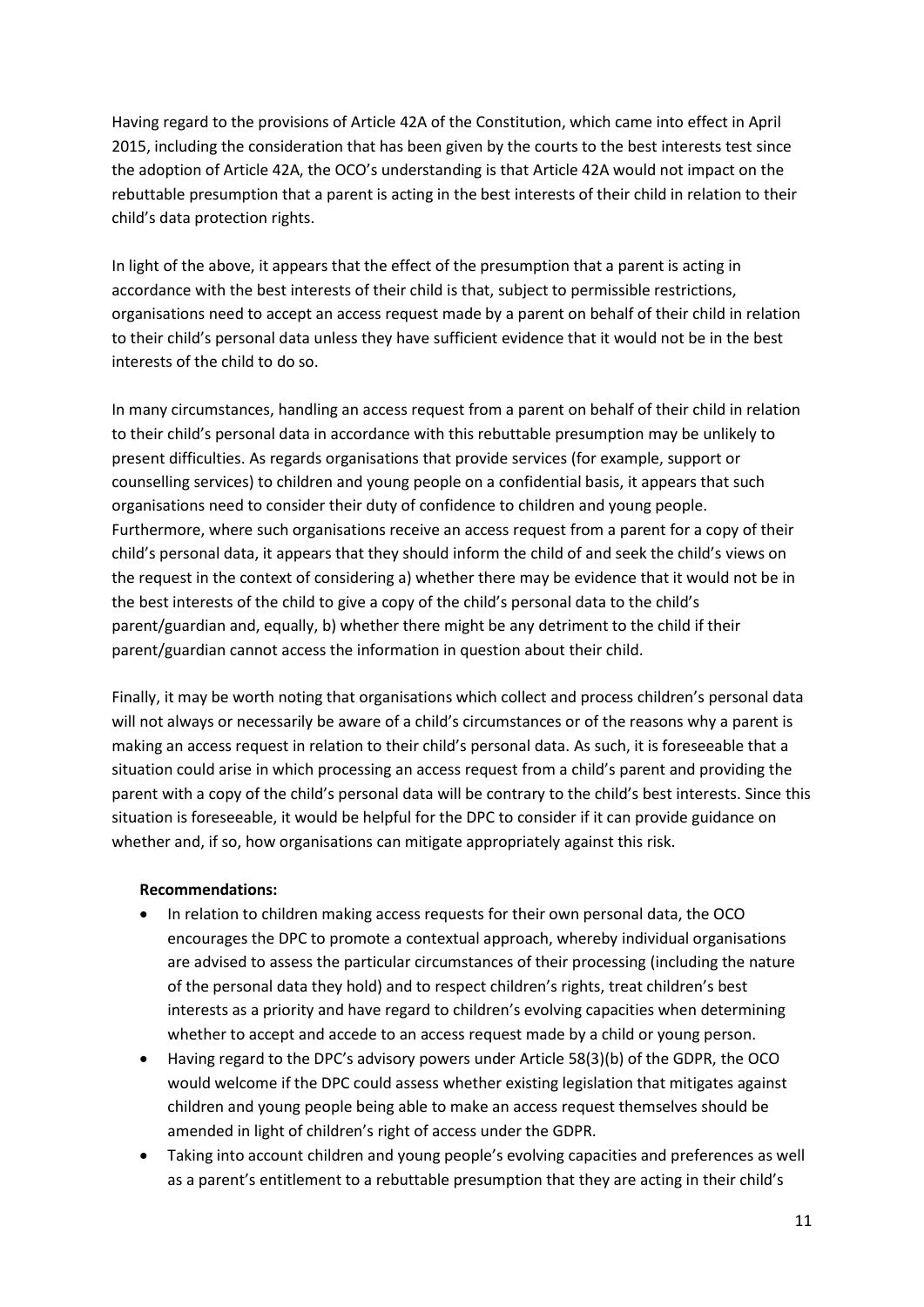Having regard to the provisions of Article 42A of the Constitution, which came into effect in April 2015, including the consideration that has been given by the courts to the best interests test since the adoption of Article 42A, the OCO's understanding is that Article 42A would not impact on the rebuttable presumption that a parent is acting in the best interests of their child in relation to their child's data protection rights.

In light of the above, it appears that the effect of the presumption that a parent is acting in accordance with the best interests of their child is that, subject to permissible restrictions, organisations need to accept an access request made by a parent on behalf of their child in relation to their child's personal data unless they have sufficient evidence that it would not be in the best interests of the child to do so.

In many circumstances, handling an access request from a parent on behalf of their child in relation to their child's personal data in accordance with this rebuttable presumption may be unlikely to present difficulties. As regards organisations that provide services (for example, support or counselling services) to children and young people on a confidential basis, it appears that such organisations need to consider their duty of confidence to children and young people. Furthermore, where such organisations receive an access request from a parent for a copy of their child's personal data, it appears that they should inform the child of and seek the child's views on the request in the context of considering a) whether there may be evidence that it would not be in the best interests of the child to give a copy of the child's personal data to the child's parent/guardian and, equally, b) whether there might be any detriment to the child if their parent/guardian cannot access the information in question about their child.

Finally, it may be worth noting that organisations which collect and process children's personal data will not always or necessarily be aware of a child's circumstances or of the reasons why a parent is making an access request in relation to their child's personal data. As such, it is foreseeable that a situation could arise in which processing an access request from a child's parent and providing the parent with a copy of the child's personal data will be contrary to the child's best interests. Since this situation is foreseeable, it would be helpful for the DPC to consider if it can provide guidance on whether and, if so, how organisations can mitigate appropriately against this risk.

## **Recommendations:**

- In relation to children making access requests for their own personal data, the OCO encourages the DPC to promote a contextual approach, whereby individual organisations are advised to assess the particular circumstances of their processing (including the nature of the personal data they hold) and to respect children's rights, treat children's best interests as a priority and have regard to children's evolving capacities when determining whether to accept and accede to an access request made by a child or young person.
- Having regard to the DPC's advisory powers under Article 58(3)(b) of the GDPR, the OCO would welcome if the DPC could assess whether existing legislation that mitigates against children and young people being able to make an access request themselves should be amended in light of children's right of access under the GDPR.
- Taking into account children and young people's evolving capacities and preferences as well as a parent's entitlement to a rebuttable presumption that they are acting in their child's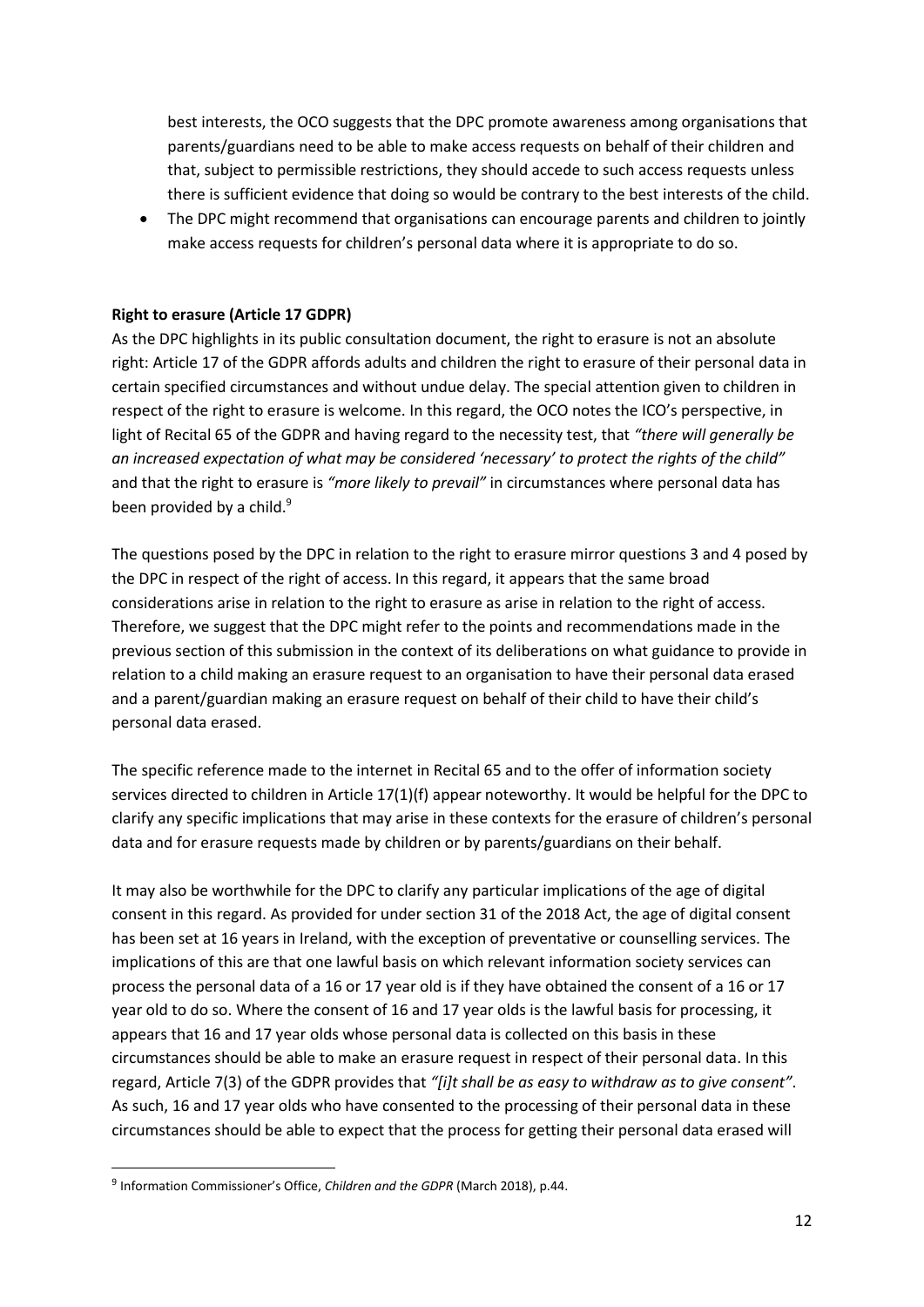best interests, the OCO suggests that the DPC promote awareness among organisations that parents/guardians need to be able to make access requests on behalf of their children and that, subject to permissible restrictions, they should accede to such access requests unless there is sufficient evidence that doing so would be contrary to the best interests of the child.

 The DPC might recommend that organisations can encourage parents and children to jointly make access requests for children's personal data where it is appropriate to do so.

### **Right to erasure (Article 17 GDPR)**

As the DPC highlights in its public consultation document, the right to erasure is not an absolute right: Article 17 of the GDPR affords adults and children the right to erasure of their personal data in certain specified circumstances and without undue delay. The special attention given to children in respect of the right to erasure is welcome. In this regard, the OCO notes the ICO's perspective, in light of Recital 65 of the GDPR and having regard to the necessity test, that *"there will generally be an increased expectation of what may be considered 'necessary' to protect the rights of the child"*  and that the right to erasure is *"more likely to prevail"* in circumstances where personal data has been provided by a child.<sup>9</sup>

The questions posed by the DPC in relation to the right to erasure mirror questions 3 and 4 posed by the DPC in respect of the right of access. In this regard, it appears that the same broad considerations arise in relation to the right to erasure as arise in relation to the right of access. Therefore, we suggest that the DPC might refer to the points and recommendations made in the previous section of this submission in the context of its deliberations on what guidance to provide in relation to a child making an erasure request to an organisation to have their personal data erased and a parent/guardian making an erasure request on behalf of their child to have their child's personal data erased.

The specific reference made to the internet in Recital 65 and to the offer of information society services directed to children in Article 17(1)(f) appear noteworthy. It would be helpful for the DPC to clarify any specific implications that may arise in these contexts for the erasure of children's personal data and for erasure requests made by children or by parents/guardians on their behalf.

It may also be worthwhile for the DPC to clarify any particular implications of the age of digital consent in this regard. As provided for under section 31 of the 2018 Act, the age of digital consent has been set at 16 years in Ireland, with the exception of preventative or counselling services. The implications of this are that one lawful basis on which relevant information society services can process the personal data of a 16 or 17 year old is if they have obtained the consent of a 16 or 17 year old to do so. Where the consent of 16 and 17 year olds is the lawful basis for processing, it appears that 16 and 17 year olds whose personal data is collected on this basis in these circumstances should be able to make an erasure request in respect of their personal data. In this regard, Article 7(3) of the GDPR provides that *"[i]t shall be as easy to withdraw as to give consent"*. As such, 16 and 17 year olds who have consented to the processing of their personal data in these circumstances should be able to expect that the process for getting their personal data erased will

<sup>9</sup> Information Commissioner's Office, *Children and the GDPR* (March 2018), p.44.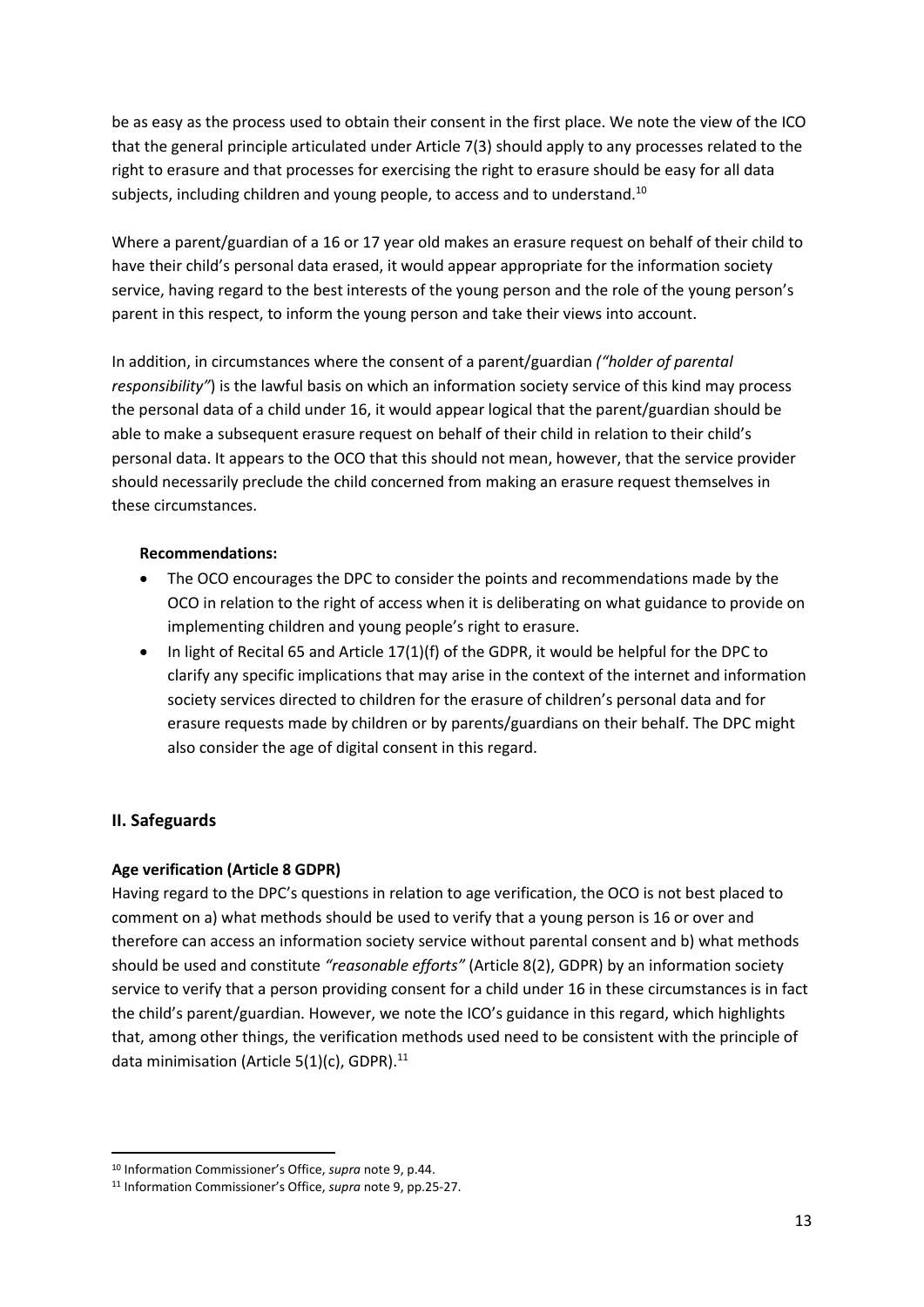be as easy as the process used to obtain their consent in the first place. We note the view of the ICO that the general principle articulated under Article 7(3) should apply to any processes related to the right to erasure and that processes for exercising the right to erasure should be easy for all data subjects, including children and young people, to access and to understand.<sup>10</sup>

Where a parent/guardian of a 16 or 17 year old makes an erasure request on behalf of their child to have their child's personal data erased, it would appear appropriate for the information society service, having regard to the best interests of the young person and the role of the young person's parent in this respect, to inform the young person and take their views into account.

In addition, in circumstances where the consent of a parent/guardian *("holder of parental responsibility"*) is the lawful basis on which an information society service of this kind may process the personal data of a child under 16, it would appear logical that the parent/guardian should be able to make a subsequent erasure request on behalf of their child in relation to their child's personal data. It appears to the OCO that this should not mean, however, that the service provider should necessarily preclude the child concerned from making an erasure request themselves in these circumstances.

#### **Recommendations:**

- The OCO encourages the DPC to consider the points and recommendations made by the OCO in relation to the right of access when it is deliberating on what guidance to provide on implementing children and young people's right to erasure.
- In light of Recital 65 and Article 17(1)(f) of the GDPR, it would be helpful for the DPC to clarify any specific implications that may arise in the context of the internet and information society services directed to children for the erasure of children's personal data and for erasure requests made by children or by parents/guardians on their behalf. The DPC might also consider the age of digital consent in this regard.

## **II. Safeguards**

**.** 

## **Age verification (Article 8 GDPR)**

Having regard to the DPC's questions in relation to age verification, the OCO is not best placed to comment on a) what methods should be used to verify that a young person is 16 or over and therefore can access an information society service without parental consent and b) what methods should be used and constitute *"reasonable efforts"* (Article 8(2), GDPR) by an information society service to verify that a person providing consent for a child under 16 in these circumstances is in fact the child's parent/guardian. However, we note the ICO's guidance in this regard, which highlights that, among other things, the verification methods used need to be consistent with the principle of data minimisation (Article  $5(1)(c)$ , GDPR).<sup>11</sup>

<sup>10</sup> Information Commissioner's Office, *supra* note 9, p.44.

<sup>11</sup> Information Commissioner's Office, *supra* note 9, pp.25-27.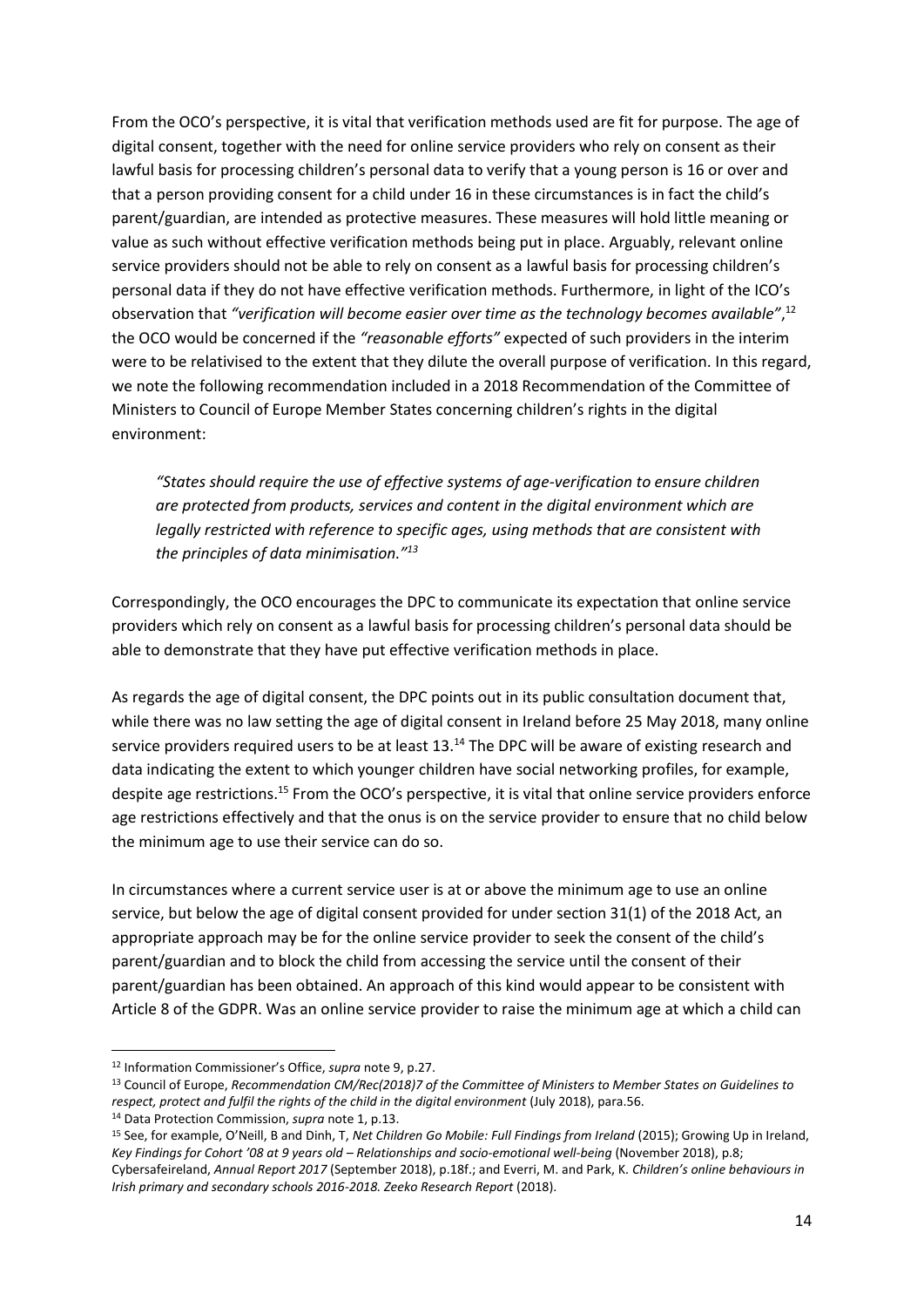From the OCO's perspective, it is vital that verification methods used are fit for purpose. The age of digital consent, together with the need for online service providers who rely on consent as their lawful basis for processing children's personal data to verify that a young person is 16 or over and that a person providing consent for a child under 16 in these circumstances is in fact the child's parent/guardian, are intended as protective measures. These measures will hold little meaning or value as such without effective verification methods being put in place. Arguably, relevant online service providers should not be able to rely on consent as a lawful basis for processing children's personal data if they do not have effective verification methods. Furthermore, in light of the ICO's observation that "verification will become easier over time as the technology becomes available",<sup>12</sup> the OCO would be concerned if the *"reasonable efforts"* expected of such providers in the interim were to be relativised to the extent that they dilute the overall purpose of verification. In this regard, we note the following recommendation included in a 2018 Recommendation of the Committee of Ministers to Council of Europe Member States concerning children's rights in the digital environment:

*"States should require the use of effective systems of age-verification to ensure children are protected from products, services and content in the digital environment which are legally restricted with reference to specific ages, using methods that are consistent with the principles of data minimisation."<sup>13</sup>*

Correspondingly, the OCO encourages the DPC to communicate its expectation that online service providers which rely on consent as a lawful basis for processing children's personal data should be able to demonstrate that they have put effective verification methods in place.

As regards the age of digital consent, the DPC points out in its public consultation document that, while there was no law setting the age of digital consent in Ireland before 25 May 2018, many online service providers required users to be at least 13.<sup>14</sup> The DPC will be aware of existing research and data indicating the extent to which younger children have social networking profiles, for example, despite age restrictions.<sup>15</sup> From the OCO's perspective, it is vital that online service providers enforce age restrictions effectively and that the onus is on the service provider to ensure that no child below the minimum age to use their service can do so.

In circumstances where a current service user is at or above the minimum age to use an online service, but below the age of digital consent provided for under section 31(1) of the 2018 Act, an appropriate approach may be for the online service provider to seek the consent of the child's parent/guardian and to block the child from accessing the service until the consent of their parent/guardian has been obtained. An approach of this kind would appear to be consistent with Article 8 of the GDPR. Was an online service provider to raise the minimum age at which a child can

<sup>12</sup> Information Commissioner's Office, *supra* note 9, p.27.

<sup>13</sup> Council of Europe, *Recommendation CM/Rec(2018)7 of the Committee of Ministers to Member States on Guidelines to respect, protect and fulfil the rights of the child in the digital environment* (July 2018), para.56.

<sup>14</sup> Data Protection Commission, *supra* note 1, p.13.

<sup>15</sup> See, for example, O'Neill, B and Dinh, T, *Net Children Go Mobile: Full Findings from Ireland* (2015); Growing Up in Ireland, *Key Findings for Cohort '08 at 9 years old – Relationships and socio-emotional well-being* (November 2018), p.8; Cybersafeireland, *Annual Report 2017* (September 2018), p.18f.; and Everri, M. and Park, K. *Children's online behaviours in Irish primary and secondary schools 2016-2018. Zeeko Research Report* (2018).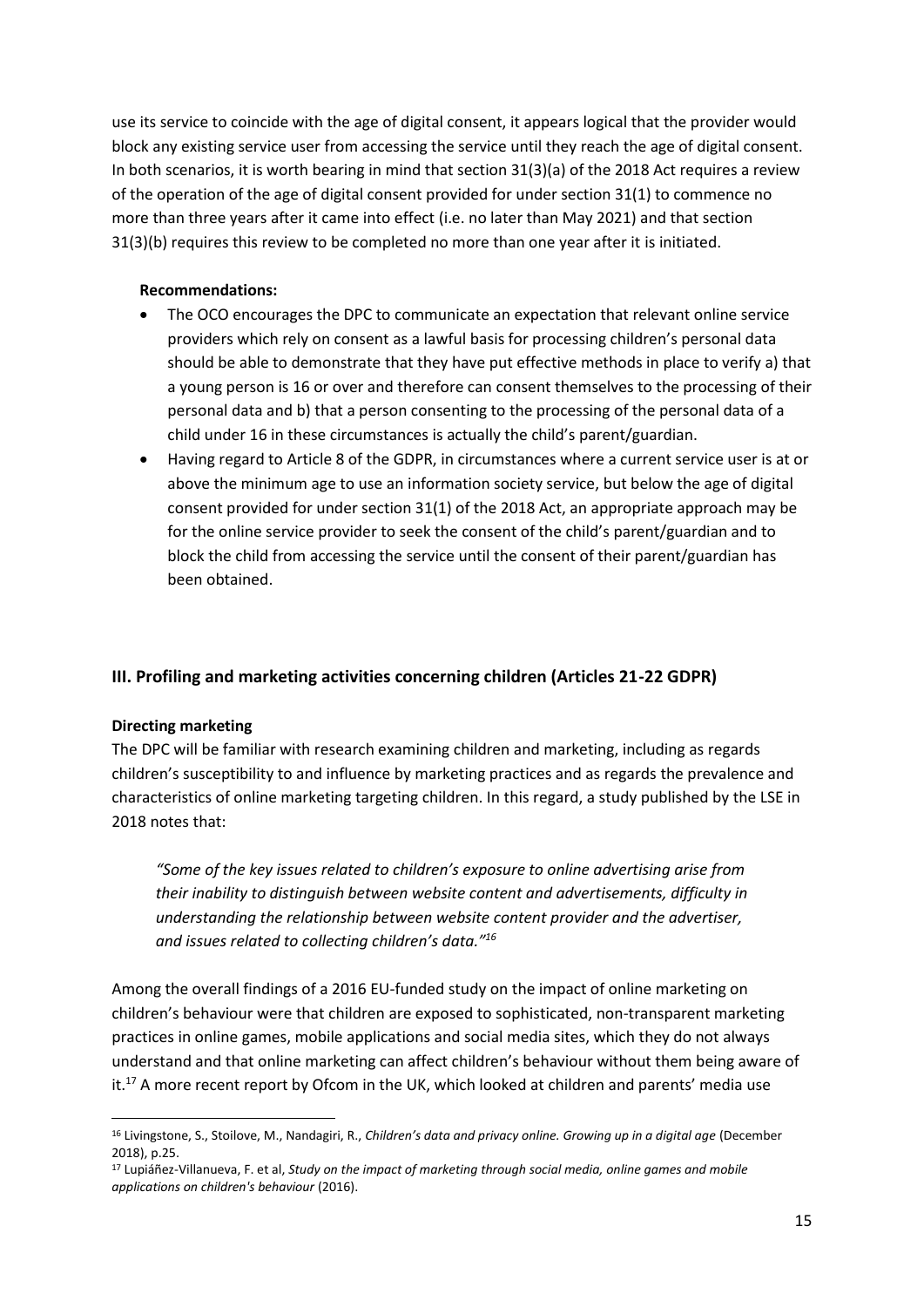use its service to coincide with the age of digital consent, it appears logical that the provider would block any existing service user from accessing the service until they reach the age of digital consent. In both scenarios, it is worth bearing in mind that section 31(3)(a) of the 2018 Act requires a review of the operation of the age of digital consent provided for under section 31(1) to commence no more than three years after it came into effect (i.e. no later than May 2021) and that section 31(3)(b) requires this review to be completed no more than one year after it is initiated.

#### **Recommendations:**

- The OCO encourages the DPC to communicate an expectation that relevant online service providers which rely on consent as a lawful basis for processing children's personal data should be able to demonstrate that they have put effective methods in place to verify a) that a young person is 16 or over and therefore can consent themselves to the processing of their personal data and b) that a person consenting to the processing of the personal data of a child under 16 in these circumstances is actually the child's parent/guardian.
- Having regard to Article 8 of the GDPR, in circumstances where a current service user is at or above the minimum age to use an information society service, but below the age of digital consent provided for under section 31(1) of the 2018 Act, an appropriate approach may be for the online service provider to seek the consent of the child's parent/guardian and to block the child from accessing the service until the consent of their parent/guardian has been obtained.

## **III. Profiling and marketing activities concerning children (Articles 21-22 GDPR)**

#### **Directing marketing**

1

The DPC will be familiar with research examining children and marketing, including as regards children's susceptibility to and influence by marketing practices and as regards the prevalence and characteristics of online marketing targeting children. In this regard, a study published by the LSE in 2018 notes that:

*"Some of the key issues related to children's exposure to online advertising arise from their inability to distinguish between website content and advertisements, difficulty in understanding the relationship between website content provider and the advertiser, and issues related to collecting children's data."<sup>16</sup>*

Among the overall findings of a 2016 EU-funded study on the impact of online marketing on children's behaviour were that children are exposed to sophisticated, non-transparent marketing practices in online games, mobile applications and social media sites, which they do not always understand and that online marketing can affect children's behaviour without them being aware of it.<sup>17</sup> A more recent report by Ofcom in the UK, which looked at children and parents' media use

<sup>16</sup> Livingstone, S., Stoilove, M., Nandagiri, R., *Children's data and privacy online. Growing up in a digital age* (December 2018), p.25.

<sup>17</sup> Lupiáñez-Villanueva, F. et al, *Study on the impact of marketing through social media, online games and mobile applications on children's behaviour* (2016).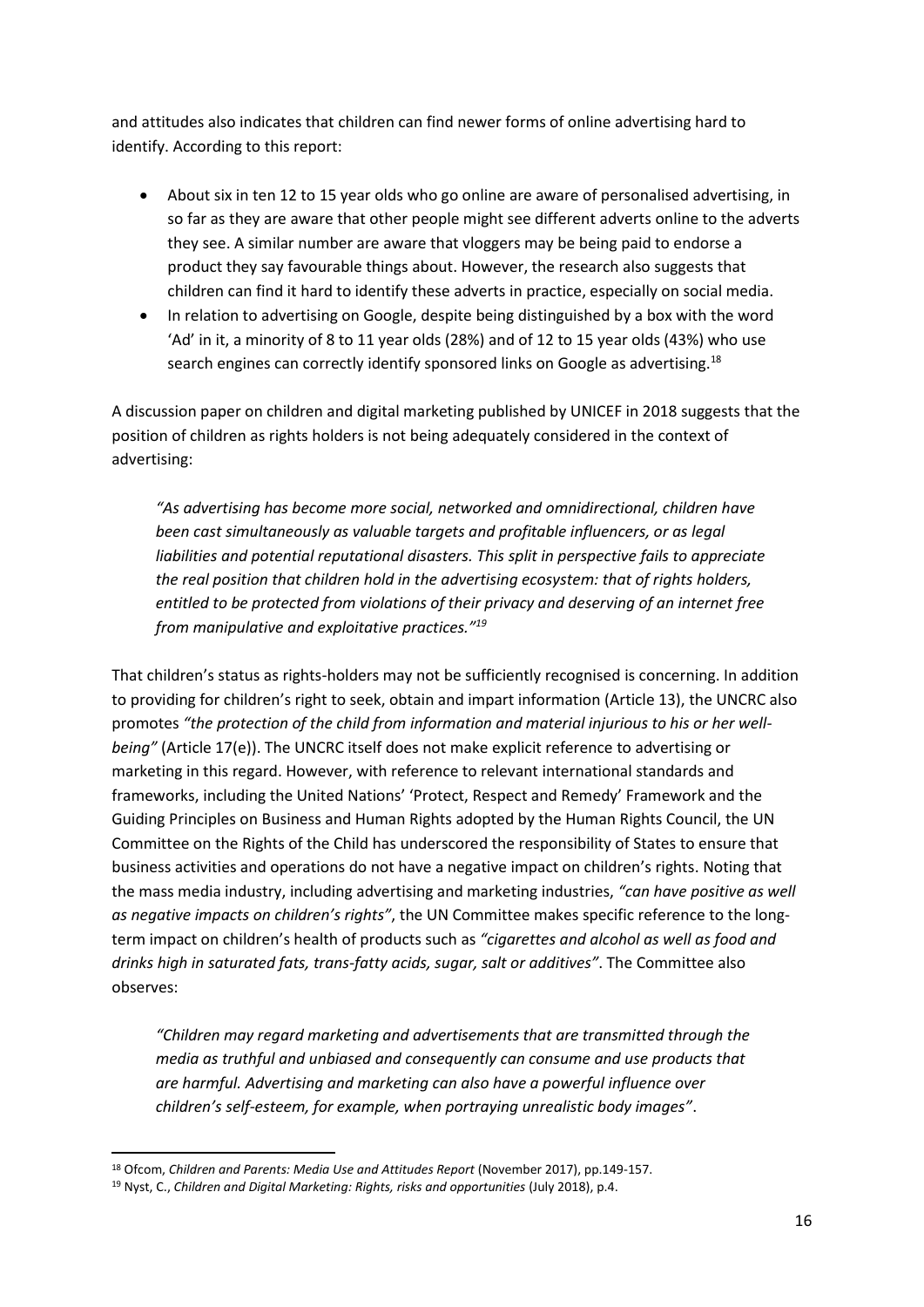and attitudes also indicates that children can find newer forms of online advertising hard to identify. According to this report:

- About six in ten 12 to 15 year olds who go online are aware of personalised advertising, in so far as they are aware that other people might see different adverts online to the adverts they see. A similar number are aware that vloggers may be being paid to endorse a product they say favourable things about. However, the research also suggests that children can find it hard to identify these adverts in practice, especially on social media.
- In relation to advertising on Google, despite being distinguished by a box with the word 'Ad' in it, a minority of 8 to 11 year olds (28%) and of 12 to 15 year olds (43%) who use search engines can correctly identify sponsored links on Google as advertising.<sup>18</sup>

A discussion paper on children and digital marketing published by UNICEF in 2018 suggests that the position of children as rights holders is not being adequately considered in the context of advertising:

*"As advertising has become more social, networked and omnidirectional, children have been cast simultaneously as valuable targets and profitable influencers, or as legal liabilities and potential reputational disasters. This split in perspective fails to appreciate the real position that children hold in the advertising ecosystem: that of rights holders, entitled to be protected from violations of their privacy and deserving of an internet free from manipulative and exploitative practices."<sup>19</sup>*

That children's status as rights-holders may not be sufficiently recognised is concerning. In addition to providing for children's right to seek, obtain and impart information (Article 13), the UNCRC also promotes *"the protection of the child from information and material injurious to his or her wellbeing"* (Article 17(e)). The UNCRC itself does not make explicit reference to advertising or marketing in this regard. However, with reference to relevant international standards and frameworks, including the United Nations' 'Protect, Respect and Remedy' Framework and the Guiding Principles on Business and Human Rights adopted by the Human Rights Council, the UN Committee on the Rights of the Child has underscored the responsibility of States to ensure that business activities and operations do not have a negative impact on children's rights. Noting that the mass media industry, including advertising and marketing industries, *"can have positive as well as negative impacts on children's rights"*, the UN Committee makes specific reference to the longterm impact on children's health of products such as *"cigarettes and alcohol as well as food and drinks high in saturated fats, trans-fatty acids, sugar, salt or additives"*. The Committee also observes:

*"Children may regard marketing and advertisements that are transmitted through the media as truthful and unbiased and consequently can consume and use products that are harmful. Advertising and marketing can also have a powerful influence over children's self-esteem, for example, when portraying unrealistic body images"*.

<sup>18</sup> Ofcom, *Children and Parents: Media Use and Attitudes Report* (November 2017), pp.149-157.

<sup>19</sup> Nyst, C., *Children and Digital Marketing: Rights, risks and opportunities* (July 2018), p.4.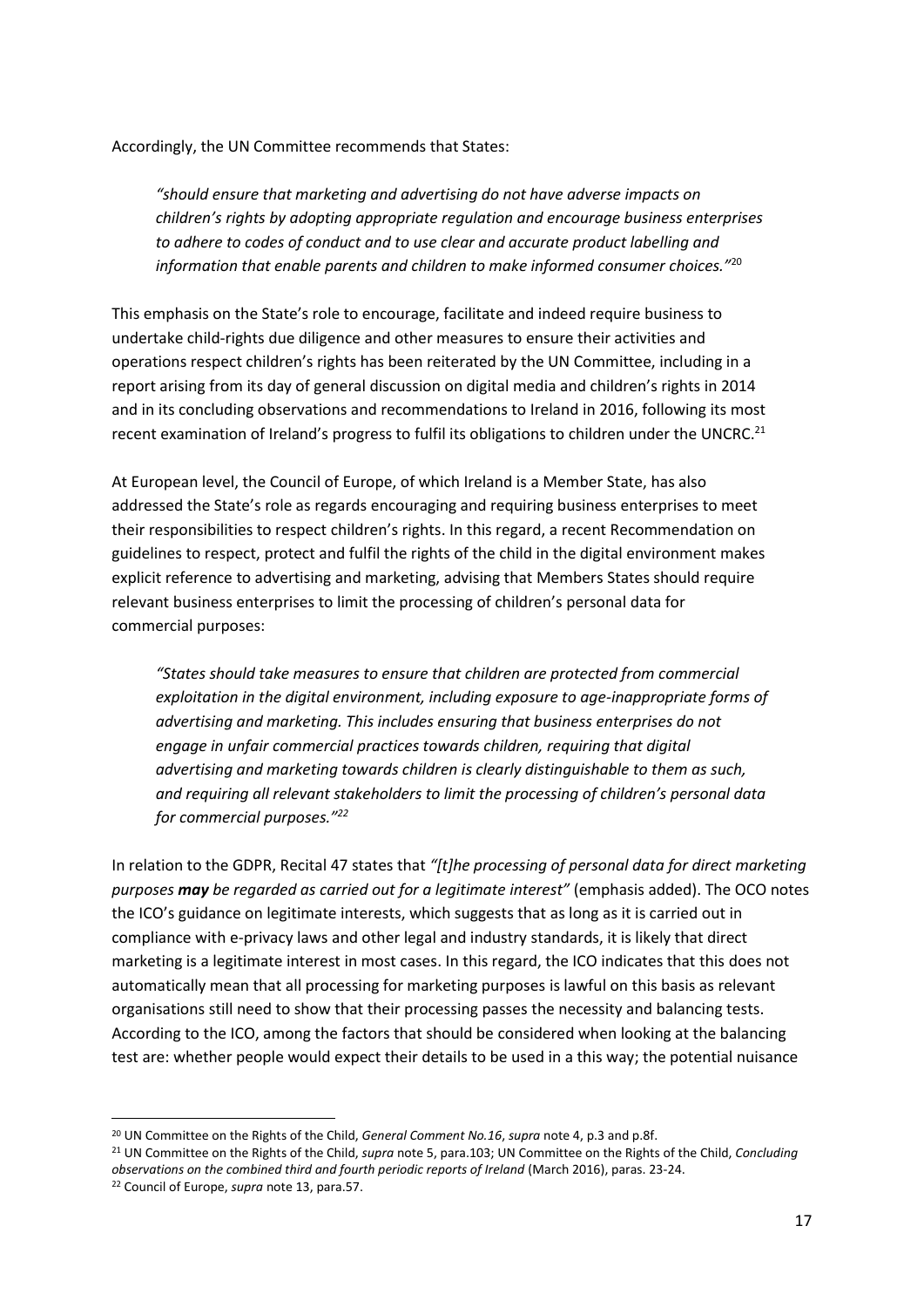Accordingly, the UN Committee recommends that States:

*"should ensure that marketing and advertising do not have adverse impacts on children's rights by adopting appropriate regulation and encourage business enterprises to adhere to codes of conduct and to use clear and accurate product labelling and information that enable parents and children to make informed consumer choices."*<sup>20</sup>

This emphasis on the State's role to encourage, facilitate and indeed require business to undertake child-rights due diligence and other measures to ensure their activities and operations respect children's rights has been reiterated by the UN Committee, including in a report arising from its day of general discussion on digital media and children's rights in 2014 and in its concluding observations and recommendations to Ireland in 2016, following its most recent examination of Ireland's progress to fulfil its obligations to children under the UNCRC.<sup>21</sup>

At European level, the Council of Europe, of which Ireland is a Member State, has also addressed the State's role as regards encouraging and requiring business enterprises to meet their responsibilities to respect children's rights. In this regard, a recent Recommendation on guidelines to respect, protect and fulfil the rights of the child in the digital environment makes explicit reference to advertising and marketing, advising that Members States should require relevant business enterprises to limit the processing of children's personal data for commercial purposes:

*"States should take measures to ensure that children are protected from commercial exploitation in the digital environment, including exposure to age-inappropriate forms of advertising and marketing. This includes ensuring that business enterprises do not engage in unfair commercial practices towards children, requiring that digital advertising and marketing towards children is clearly distinguishable to them as such, and requiring all relevant stakeholders to limit the processing of children's personal data for commercial purposes."<sup>22</sup>*

In relation to the GDPR, Recital 47 states that *"[t]he processing of personal data for direct marketing purposes may be regarded as carried out for a legitimate interest"* (emphasis added). The OCO notes the ICO's guidance on legitimate interests, which suggests that as long as it is carried out in compliance with e-privacy laws and other legal and industry standards, it is likely that direct marketing is a legitimate interest in most cases. In this regard, the ICO indicates that this does not automatically mean that all processing for marketing purposes is lawful on this basis as relevant organisations still need to show that their processing passes the necessity and balancing tests. According to the ICO, among the factors that should be considered when looking at the balancing test are: whether people would expect their details to be used in a this way; the potential nuisance

<sup>20</sup> UN Committee on the Rights of the Child, *General Comment No.16*, *supra* note 4, p.3 and p.8f.

<sup>21</sup> UN Committee on the Rights of the Child, *supra* note 5, para.103; UN Committee on the Rights of the Child, *Concluding observations on the combined third and fourth periodic reports of Ireland* (March 2016), paras. 23-24.

<sup>22</sup> Council of Europe, *supra* note 13, para.57.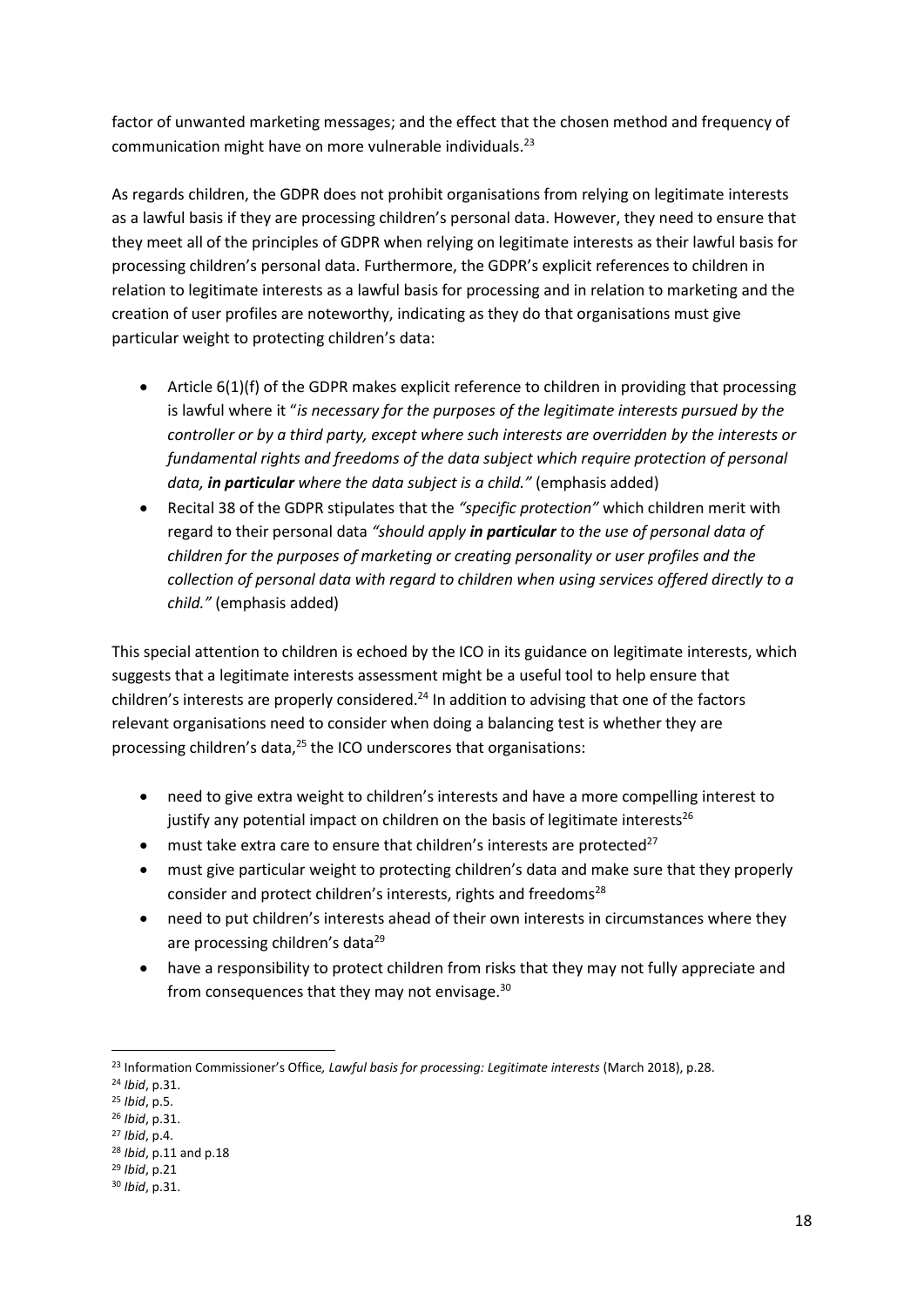factor of unwanted marketing messages; and the effect that the chosen method and frequency of communication might have on more vulnerable individuals.<sup>23</sup>

As regards children, the GDPR does not prohibit organisations from relying on legitimate interests as a lawful basis if they are processing children's personal data. However, they need to ensure that they meet all of the principles of GDPR when relying on legitimate interests as their lawful basis for processing children's personal data. Furthermore, the GDPR's explicit references to children in relation to legitimate interests as a lawful basis for processing and in relation to marketing and the creation of user profiles are noteworthy, indicating as they do that organisations must give particular weight to protecting children's data:

- Article 6(1)(f) of the GDPR makes explicit reference to children in providing that processing is lawful where it "*is necessary for the purposes of the legitimate interests pursued by the controller or by a third party, except where such interests are overridden by the interests or fundamental rights and freedoms of the data subject which require protection of personal data, in particular where the data subject is a child."* (emphasis added)
- Recital 38 of the GDPR stipulates that the *"specific protection"* which children merit with regard to their personal data *"should apply in particular to the use of personal data of children for the purposes of marketing or creating personality or user profiles and the collection of personal data with regard to children when using services offered directly to a child."* (emphasis added)

This special attention to children is echoed by the ICO in its guidance on legitimate interests, which suggests that a legitimate interests assessment might be a useful tool to help ensure that children's interests are properly considered.<sup>24</sup> In addition to advising that one of the factors relevant organisations need to consider when doing a balancing test is whether they are processing children's data,<sup>25</sup> the ICO underscores that organisations:

- need to give extra weight to children's interests and have a more compelling interest to justify any potential impact on children on the basis of legitimate interests<sup>26</sup>
- $\bullet$  must take extra care to ensure that children's interests are protected<sup>27</sup>
- must give particular weight to protecting children's data and make sure that they properly consider and protect children's interests, rights and freedoms<sup>28</sup>
- need to put children's interests ahead of their own interests in circumstances where they are processing children's data<sup>29</sup>
- have a responsibility to protect children from risks that they may not fully appreciate and from consequences that they may not envisage.<sup>30</sup>

**<sup>.</sup>** <sup>23</sup> Information Commissioner's Office*, Lawful basis for processing: Legitimate interests* (March 2018), p.28.

<sup>24</sup> *Ibid*, p.31.

<sup>25</sup> *Ibid*, p.5.

<sup>26</sup> *Ibid*, p.31.

<sup>27</sup> *Ibid*, p.4.

<sup>28</sup> *Ibid*, p.11 and p.18

<sup>29</sup> *Ibid*, p.21

<sup>30</sup> *Ibid*, p.31.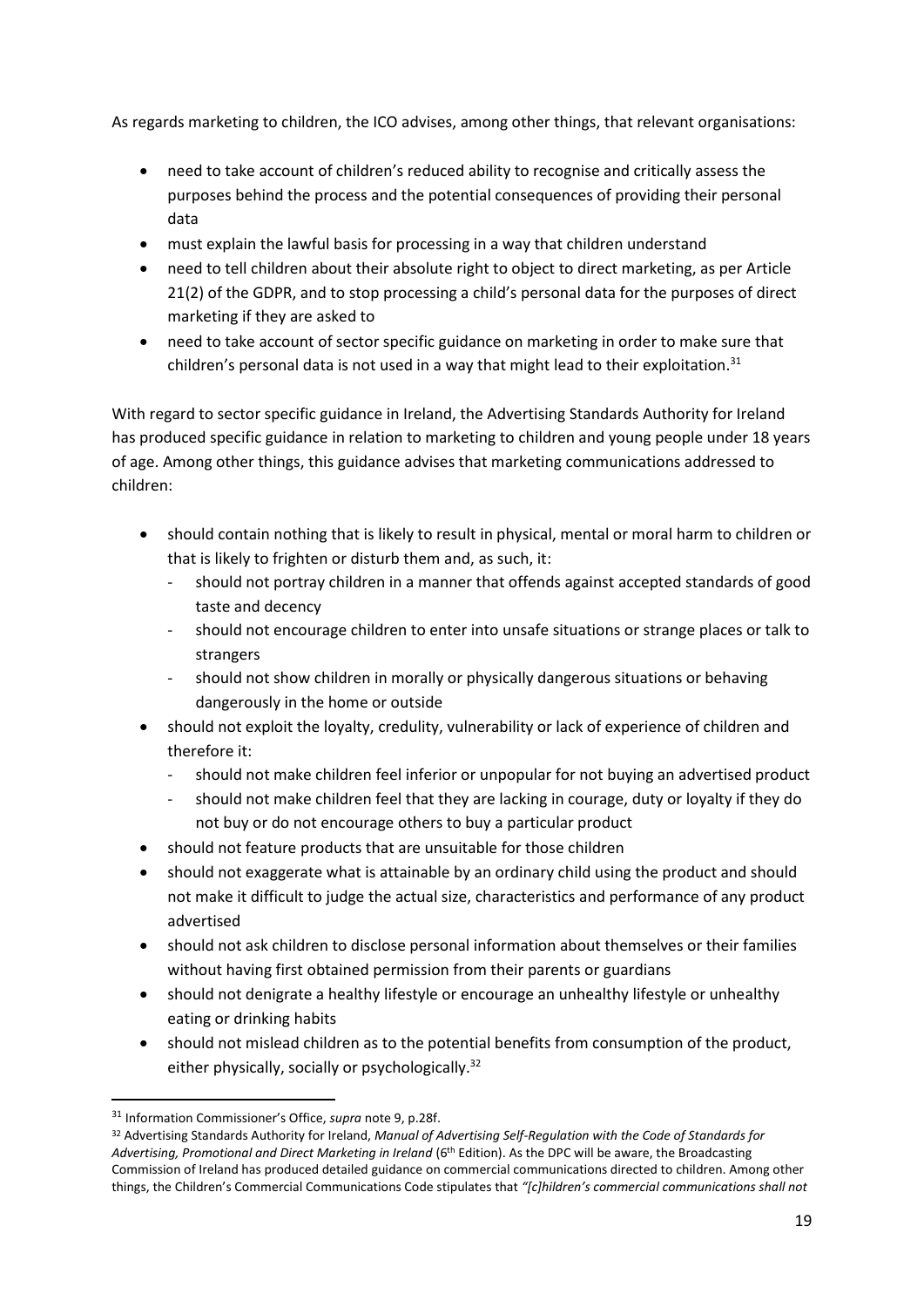As regards marketing to children, the ICO advises, among other things, that relevant organisations:

- need to take account of children's reduced ability to recognise and critically assess the purposes behind the process and the potential consequences of providing their personal data
- must explain the lawful basis for processing in a way that children understand
- need to tell children about their absolute right to object to direct marketing, as per Article 21(2) of the GDPR, and to stop processing a child's personal data for the purposes of direct marketing if they are asked to
- need to take account of sector specific guidance on marketing in order to make sure that children's personal data is not used in a way that might lead to their exploitation. $31$

With regard to sector specific guidance in Ireland, the Advertising Standards Authority for Ireland has produced specific guidance in relation to marketing to children and young people under 18 years of age. Among other things, this guidance advises that marketing communications addressed to children:

- should contain nothing that is likely to result in physical, mental or moral harm to children or that is likely to frighten or disturb them and, as such, it:
	- should not portray children in a manner that offends against accepted standards of good taste and decency
	- should not encourage children to enter into unsafe situations or strange places or talk to strangers
	- should not show children in morally or physically dangerous situations or behaving dangerously in the home or outside
- should not exploit the loyalty, credulity, vulnerability or lack of experience of children and therefore it:
	- should not make children feel inferior or unpopular for not buying an advertised product
	- should not make children feel that they are lacking in courage, duty or loyalty if they do not buy or do not encourage others to buy a particular product
- should not feature products that are unsuitable for those children
- should not exaggerate what is attainable by an ordinary child using the product and should not make it difficult to judge the actual size, characteristics and performance of any product advertised
- should not ask children to disclose personal information about themselves or their families without having first obtained permission from their parents or guardians
- should not denigrate a healthy lifestyle or encourage an unhealthy lifestyle or unhealthy eating or drinking habits
- should not mislead children as to the potential benefits from consumption of the product, either physically, socially or psychologically.<sup>32</sup>

 $\overline{a}$ 

<sup>31</sup> Information Commissioner's Office, *supra* note 9, p.28f.

<sup>32</sup> Advertising Standards Authority for Ireland, *Manual of Advertising Self-Regulation with the Code of Standards for Advertising, Promotional and Direct Marketing in Ireland* (6th Edition). As the DPC will be aware, the Broadcasting Commission of Ireland has produced detailed guidance on commercial communications directed to children. Among other things, the Children's Commercial Communications Code stipulates that *"[c]hildren's commercial communications shall not*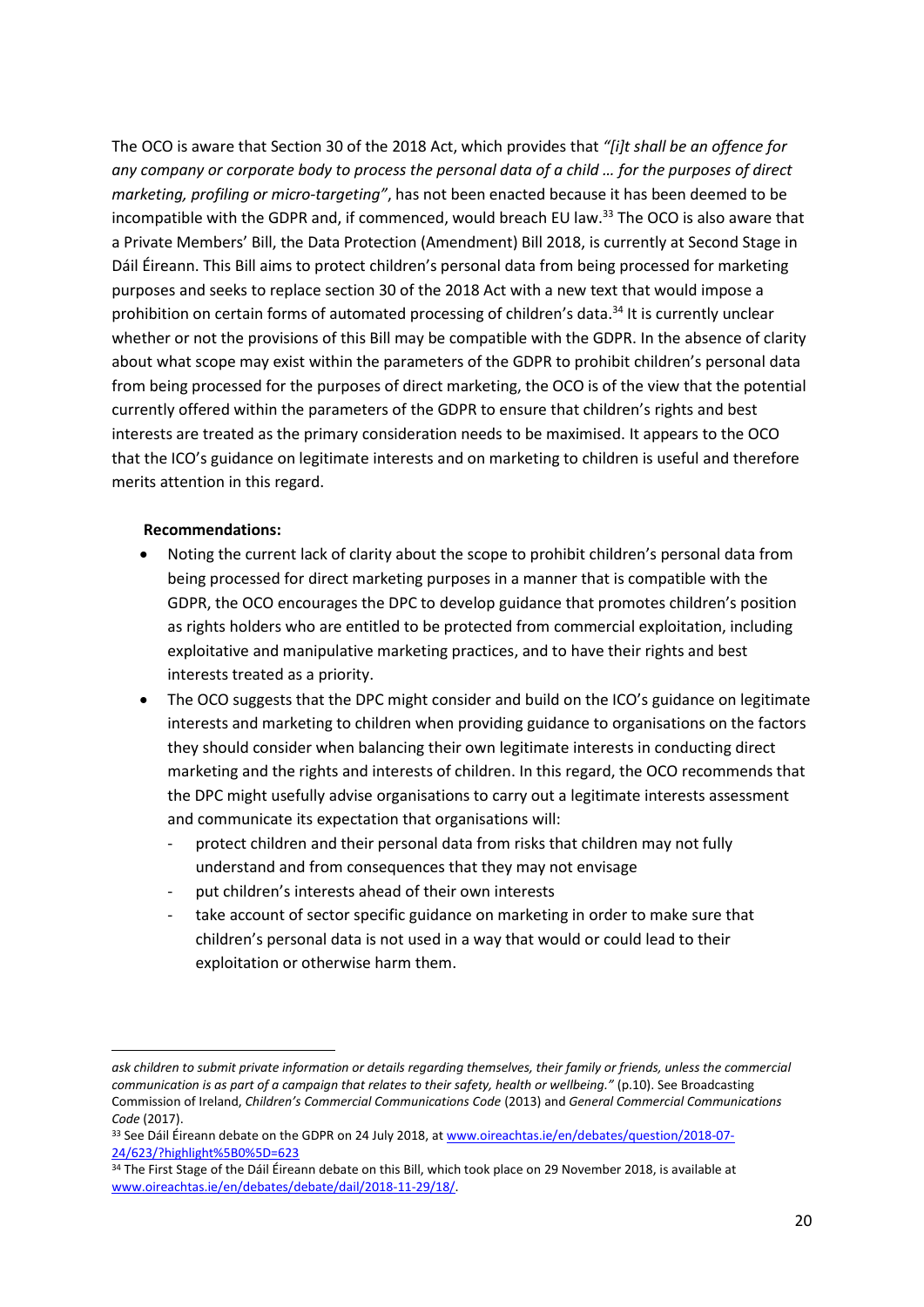The OCO is aware that Section 30 of the 2018 Act, which provides that *"[i]t shall be an offence for any company or corporate body to process the personal data of a child … for the purposes of direct marketing, profiling or micro-targeting"*, has not been enacted because it has been deemed to be incompatible with the GDPR and, if commenced, would breach EU law.<sup>33</sup> The OCO is also aware that a Private Members' Bill, the Data Protection (Amendment) Bill 2018, is currently at Second Stage in Dáil Éireann. This Bill aims to protect children's personal data from being processed for marketing purposes and seeks to replace section 30 of the 2018 Act with a new text that would impose a prohibition on certain forms of automated processing of children's data.<sup>34</sup> It is currently unclear whether or not the provisions of this Bill may be compatible with the GDPR. In the absence of clarity about what scope may exist within the parameters of the GDPR to prohibit children's personal data from being processed for the purposes of direct marketing, the OCO is of the view that the potential currently offered within the parameters of the GDPR to ensure that children's rights and best interests are treated as the primary consideration needs to be maximised. It appears to the OCO that the ICO's guidance on legitimate interests and on marketing to children is useful and therefore merits attention in this regard.

#### **Recommendations:**

- Noting the current lack of clarity about the scope to prohibit children's personal data from being processed for direct marketing purposes in a manner that is compatible with the GDPR, the OCO encourages the DPC to develop guidance that promotes children's position as rights holders who are entitled to be protected from commercial exploitation, including exploitative and manipulative marketing practices, and to have their rights and best interests treated as a priority.
- The OCO suggests that the DPC might consider and build on the ICO's guidance on legitimate interests and marketing to children when providing guidance to organisations on the factors they should consider when balancing their own legitimate interests in conducting direct marketing and the rights and interests of children. In this regard, the OCO recommends that the DPC might usefully advise organisations to carry out a legitimate interests assessment and communicate its expectation that organisations will:
	- protect children and their personal data from risks that children may not fully understand and from consequences that they may not envisage
	- put children's interests ahead of their own interests
	- take account of sector specific guidance on marketing in order to make sure that children's personal data is not used in a way that would or could lead to their exploitation or otherwise harm them.

*ask children to submit private information or details regarding themselves, their family or friends, unless the commercial communication is as part of a campaign that relates to their safety, health or wellbeing."* (p.10). See Broadcasting Commission of Ireland, *Children's Commercial Communications Code* (2013) and *General Commercial Communications Code* (2017).

<sup>33</sup> See Dáil Éireann debate on the GDPR on 24 July 2018, at [www.oireachtas.ie/en/debates/question/2018-07-](http://www.oireachtas.ie/en/debates/question/2018-07-24/623/?highlight%5B0%5D=623) [24/623/?highlight%5B0%5D=623](http://www.oireachtas.ie/en/debates/question/2018-07-24/623/?highlight%5B0%5D=623) 

<sup>34</sup> The First Stage of the Dáil Éireann debate on this Bill, which took place on 29 November 2018, is available at [www.oireachtas.ie/en/debates/debate/dail/2018-11-29/18/.](http://www.oireachtas.ie/en/debates/debate/dail/2018-11-29/18/)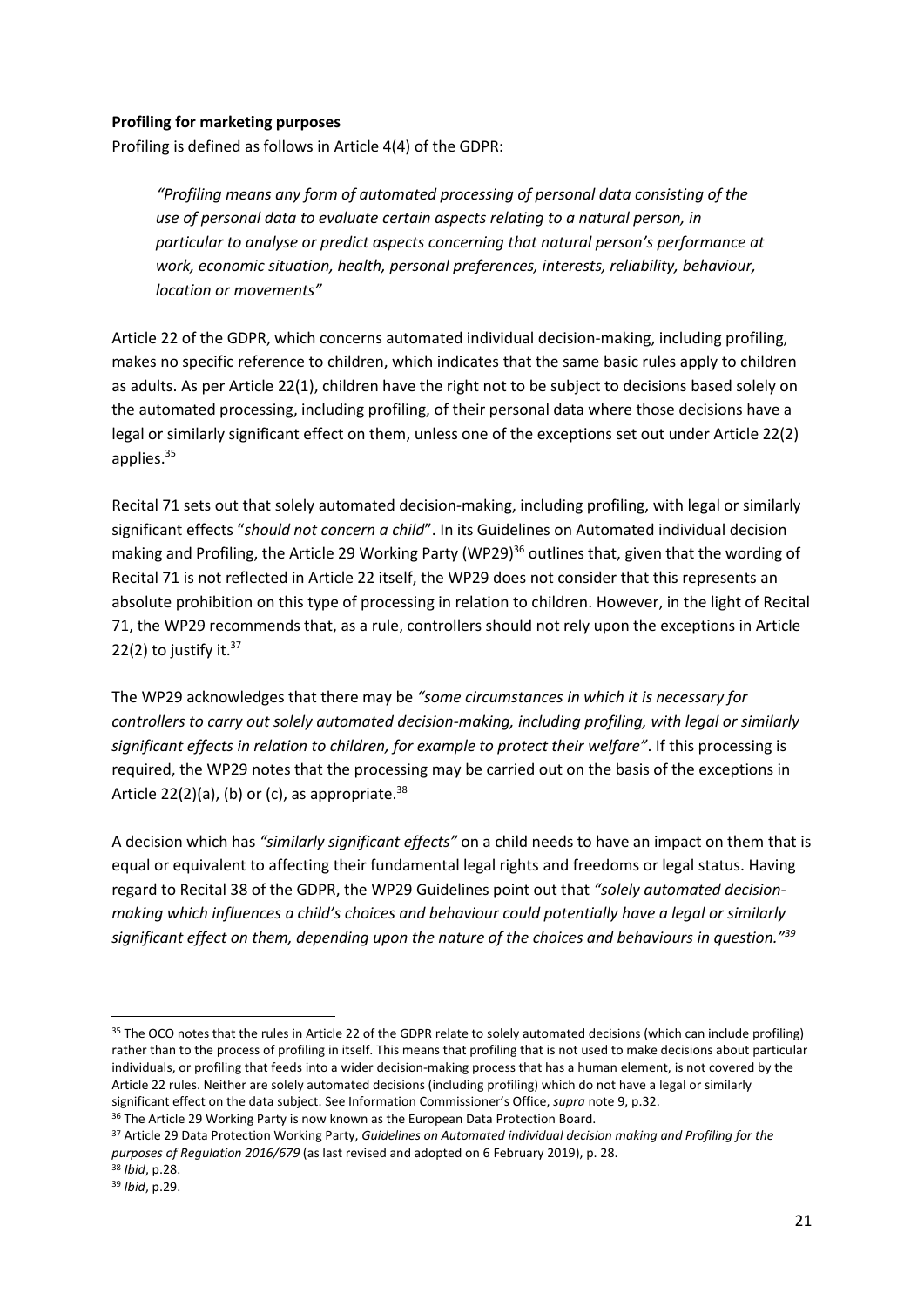#### **Profiling for marketing purposes**

Profiling is defined as follows in Article 4(4) of the GDPR:

*"Profiling means any form of automated processing of personal data consisting of the use of personal data to evaluate certain aspects relating to a natural person, in particular to analyse or predict aspects concerning that natural person's performance at work, economic situation, health, personal preferences, interests, reliability, behaviour, location or movements"*

Article 22 of the GDPR, which concerns automated individual decision-making, including profiling, makes no specific reference to children, which indicates that the same basic rules apply to children as adults. As per Article 22(1), children have the right not to be subject to decisions based solely on the automated processing, including profiling, of their personal data where those decisions have a legal or similarly significant effect on them, unless one of the exceptions set out under Article 22(2) applies. 35

Recital 71 sets out that solely automated decision-making, including profiling, with legal or similarly significant effects "*should not concern a child*". In its Guidelines on Automated individual decision making and Profiling, the Article 29 Working Party (WP29)<sup>36</sup> outlines that, given that the wording of Recital 71 is not reflected in Article 22 itself, the WP29 does not consider that this represents an absolute prohibition on this type of processing in relation to children. However, in the light of Recital 71, the WP29 recommends that, as a rule, controllers should not rely upon the exceptions in Article 22(2) to justify it. $37$ 

The WP29 acknowledges that there may be *"some circumstances in which it is necessary for controllers to carry out solely automated decision-making, including profiling, with legal or similarly significant effects in relation to children, for example to protect their welfare"*. If this processing is required, the WP29 notes that the processing may be carried out on the basis of the exceptions in Article 22(2)(a), (b) or (c), as appropriate. $38$ 

A decision which has *"similarly significant effects"* on a child needs to have an impact on them that is equal or equivalent to affecting their fundamental legal rights and freedoms or legal status. Having regard to Recital 38 of the GDPR, the WP29 Guidelines point out that *"solely automated decisionmaking which influences a child's choices and behaviour could potentially have a legal or similarly significant effect on them, depending upon the nature of the choices and behaviours in question."<sup>39</sup>*

<sup>&</sup>lt;sup>35</sup> The OCO notes that the rules in Article 22 of the GDPR relate to solely automated decisions (which can include profiling) rather than to the process of profiling in itself. This means that profiling that is not used to make decisions about particular individuals, or profiling that feeds into a wider decision-making process that has a human element, is not covered by the Article 22 rules. Neither are solely automated decisions (including profiling) which do not have a legal or similarly significant effect on the data subject. See Information Commissioner's Office, *supra* note 9, p.32.

<sup>36</sup> The Article 29 Working Party is now known as the European Data Protection Board.

<sup>37</sup> Article 29 Data Protection Working Party, *Guidelines on Automated individual decision making and Profiling for the purposes of Regulation 2016/679* (as last revised and adopted on 6 February 2019), p. 28. <sup>38</sup> *Ibid*, p.28.

<sup>39</sup> *Ibid*, p.29.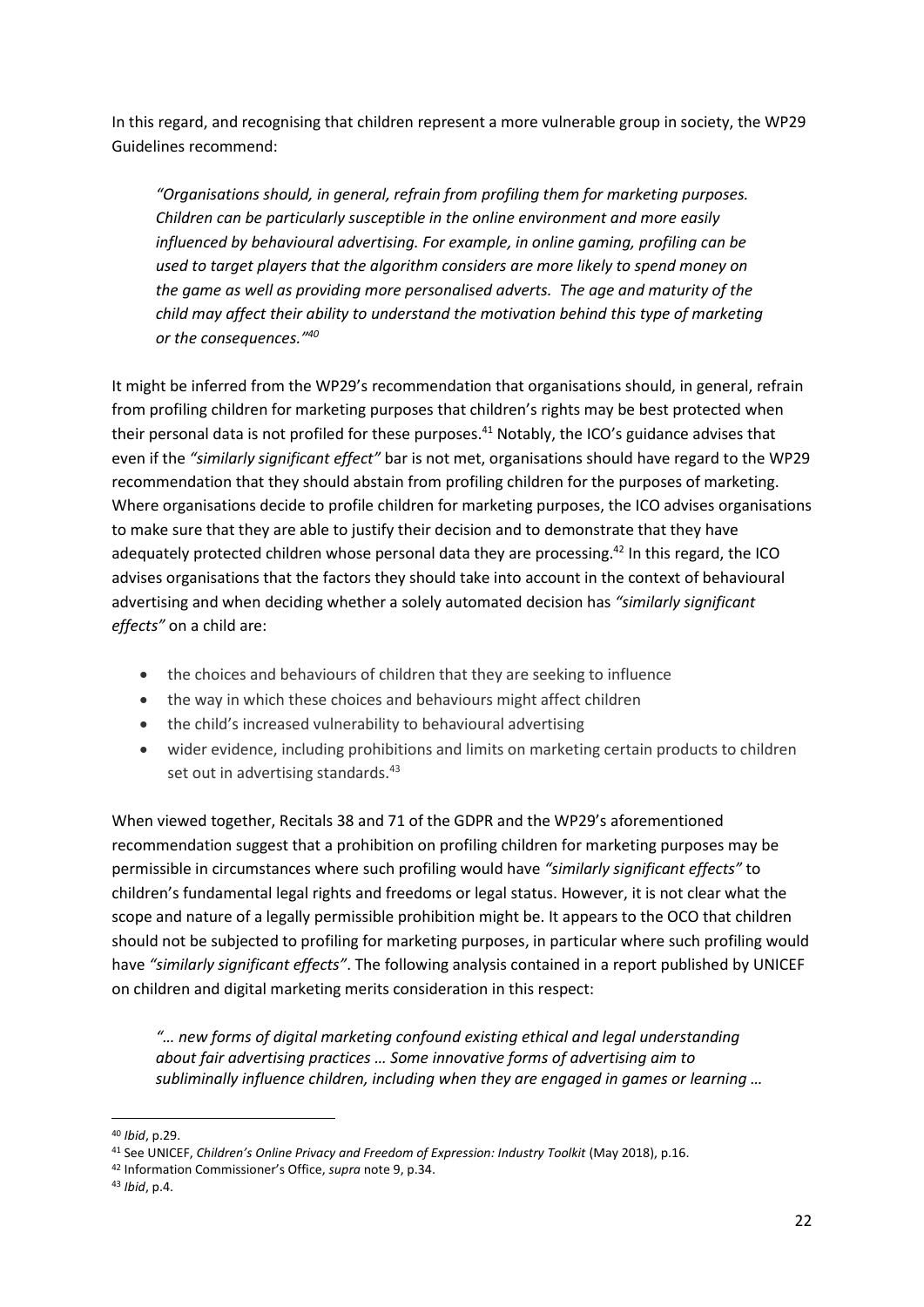In this regard, and recognising that children represent a more vulnerable group in society, the WP29 Guidelines recommend:

*"Organisations should, in general, refrain from profiling them for marketing purposes. Children can be particularly susceptible in the online environment and more easily influenced by behavioural advertising. For example, in online gaming, profiling can be used to target players that the algorithm considers are more likely to spend money on the game as well as providing more personalised adverts. The age and maturity of the child may affect their ability to understand the motivation behind this type of marketing or the consequences." 40* 

It might be inferred from the WP29's recommendation that organisations should, in general, refrain from profiling children for marketing purposes that children's rights may be best protected when their personal data is not profiled for these purposes.<sup>41</sup> Notably, the ICO's guidance advises that even if the *"similarly significant effect"* bar is not met, organisations should have regard to the WP29 recommendation that they should abstain from profiling children for the purposes of marketing. Where organisations decide to profile children for marketing purposes, the ICO advises organisations to make sure that they are able to justify their decision and to demonstrate that they have adequately protected children whose personal data they are processing.<sup>42</sup> In this regard, the ICO advises organisations that the factors they should take into account in the context of behavioural advertising and when deciding whether a solely automated decision has *"similarly significant effects"* on a child are:

- the choices and behaviours of children that they are seeking to influence
- the way in which these choices and behaviours might affect children
- the child's increased vulnerability to behavioural advertising
- wider evidence, including prohibitions and limits on marketing certain products to children set out in advertising standards.<sup>43</sup>

When viewed together, Recitals 38 and 71 of the GDPR and the WP29's aforementioned recommendation suggest that a prohibition on profiling children for marketing purposes may be permissible in circumstances where such profiling would have *"similarly significant effects"* to children's fundamental legal rights and freedoms or legal status. However, it is not clear what the scope and nature of a legally permissible prohibition might be. It appears to the OCO that children should not be subjected to profiling for marketing purposes, in particular where such profiling would have *"similarly significant effects"*. The following analysis contained in a report published by UNICEF on children and digital marketing merits consideration in this respect:

*"… new forms of digital marketing confound existing ethical and legal understanding about fair advertising practices … Some innovative forms of advertising aim to subliminally influence children, including when they are engaged in games or learning …* 

<sup>40</sup> *Ibid*, p.29.

<sup>&</sup>lt;sup>41</sup> See UNICEF, *Children's Online Privacy and Freedom of Expression: Industry Toolkit (May 2018), p.16.* 

<sup>42</sup> Information Commissioner's Office, *supra* note 9, p.34.

<sup>43</sup> *Ibid*, p.4.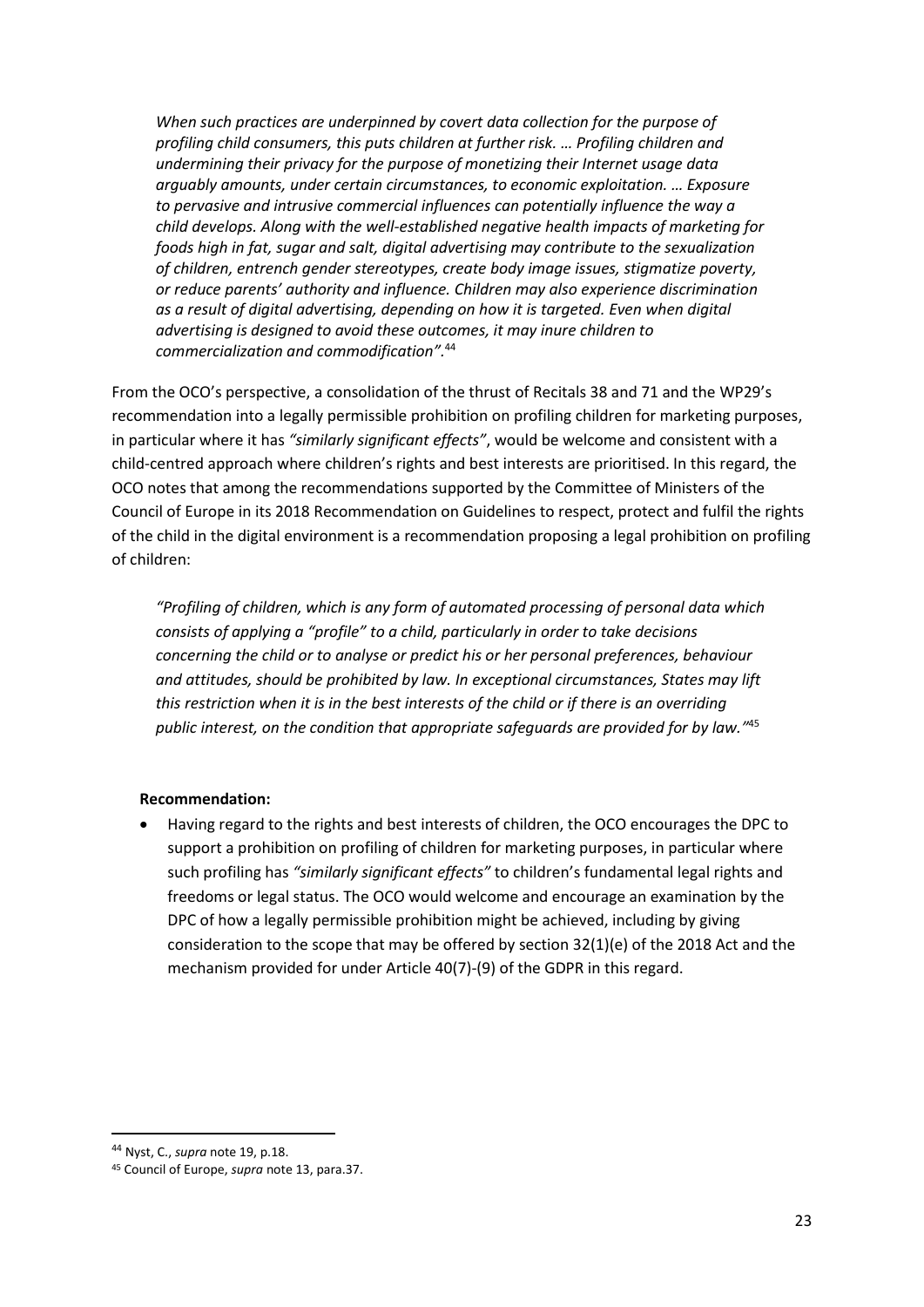*When such practices are underpinned by covert data collection for the purpose of profiling child consumers, this puts children at further risk. … Profiling children and undermining their privacy for the purpose of monetizing their Internet usage data arguably amounts, under certain circumstances, to economic exploitation. … Exposure to pervasive and intrusive commercial influences can potentially influence the way a child develops. Along with the well-established negative health impacts of marketing for foods high in fat, sugar and salt, digital advertising may contribute to the sexualization of children, entrench gender stereotypes, create body image issues, stigmatize poverty, or reduce parents' authority and influence. Children may also experience discrimination as a result of digital advertising, depending on how it is targeted. Even when digital advertising is designed to avoid these outcomes, it may inure children to commercialization and commodification".*<sup>44</sup>

From the OCO's perspective, a consolidation of the thrust of Recitals 38 and 71 and the WP29's recommendation into a legally permissible prohibition on profiling children for marketing purposes, in particular where it has *"similarly significant effects"*, would be welcome and consistent with a child-centred approach where children's rights and best interests are prioritised. In this regard, the OCO notes that among the recommendations supported by the Committee of Ministers of the Council of Europe in its 2018 Recommendation on Guidelines to respect, protect and fulfil the rights of the child in the digital environment is a recommendation proposing a legal prohibition on profiling of children:

*"Profiling of children, which is any form of automated processing of personal data which consists of applying a "profile" to a child, particularly in order to take decisions concerning the child or to analyse or predict his or her personal preferences, behaviour and attitudes, should be prohibited by law. In exceptional circumstances, States may lift this restriction when it is in the best interests of the child or if there is an overriding public interest, on the condition that appropriate safeguards are provided for by law."* 45

#### **Recommendation:**

 Having regard to the rights and best interests of children, the OCO encourages the DPC to support a prohibition on profiling of children for marketing purposes, in particular where such profiling has *"similarly significant effects"* to children's fundamental legal rights and freedoms or legal status. The OCO would welcome and encourage an examination by the DPC of how a legally permissible prohibition might be achieved, including by giving consideration to the scope that may be offered by section 32(1)(e) of the 2018 Act and the mechanism provided for under Article 40(7)-(9) of the GDPR in this regard.

<sup>44</sup> Nyst, C., *supra* note 19, p.18.

<sup>45</sup> Council of Europe, *supra* note 13, para.37.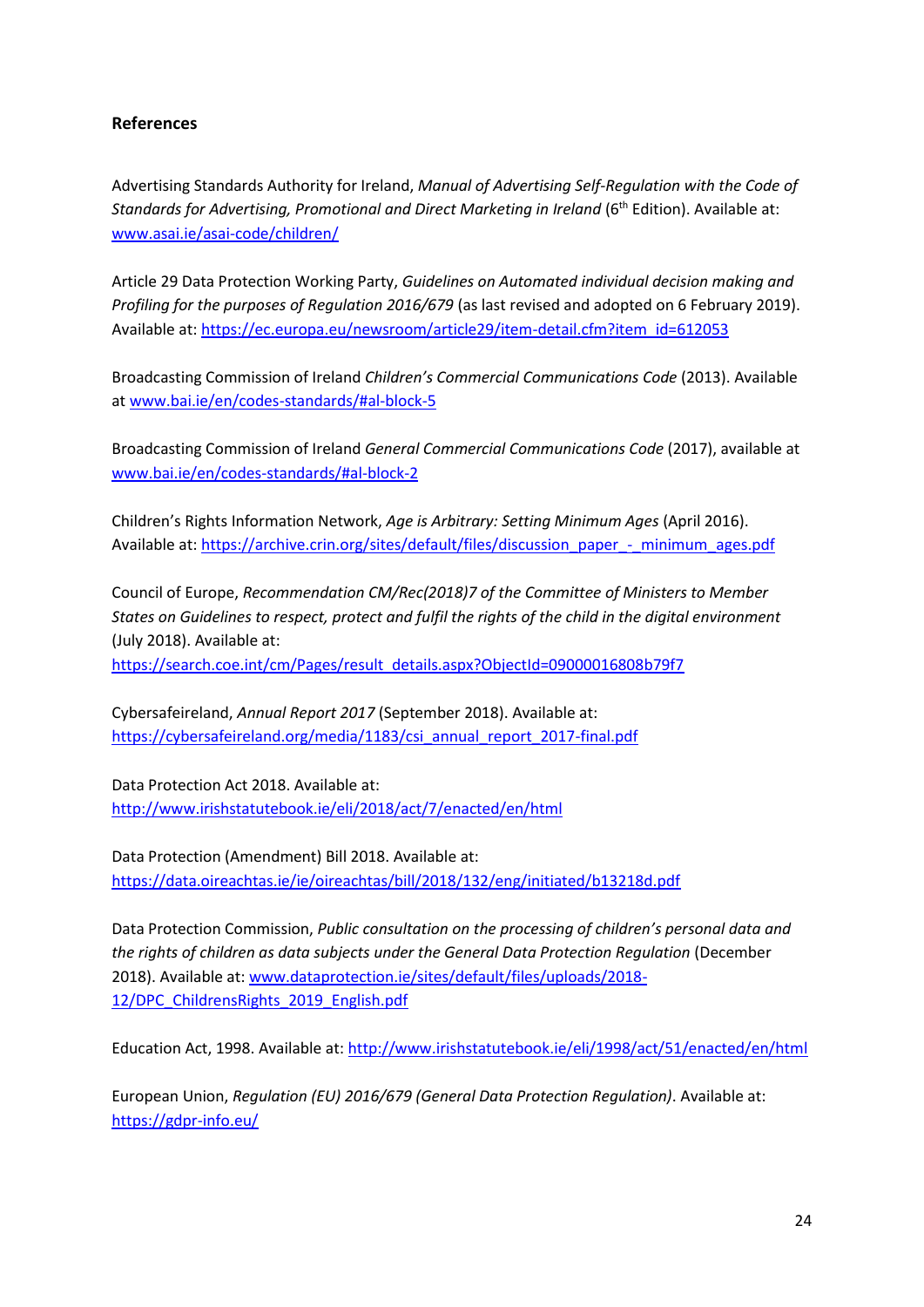# **References**

Advertising Standards Authority for Ireland, *Manual of Advertising Self-Regulation with the Code of Standards for Advertising, Promotional and Direct Marketing in Ireland* (6th Edition). Available at: [www.asai.ie/asai-code/children/](http://www.asai.ie/asai-code/children/)

Article 29 Data Protection Working Party, *Guidelines on Automated individual decision making and Profiling for the purposes of Regulation 2016/679* (as last revised and adopted on 6 February 2019). Available at[: https://ec.europa.eu/newsroom/article29/item-detail.cfm?item\\_id=612053](https://ec.europa.eu/newsroom/article29/item-detail.cfm?item_id=612053)

Broadcasting Commission of Ireland *Children's Commercial Communications Code* (2013). Available a[t www.bai.ie/en/codes-standards/#al-block-5](http://www.bai.ie/en/codes-standards/#al-block-5) 

Broadcasting Commission of Ireland *General Commercial Communications Code* (2017), available at [www.bai.ie/en/codes-standards/#al-block-2](http://www.bai.ie/en/codes-standards/#al-block-2)

Children's Rights Information Network, *Age is Arbitrary: Setting Minimum Ages* (April 2016). Available at: https://archive.crin.org/sites/default/files/discussion\_paper\_-\_minimum\_ages.pdf

Council of Europe, *Recommendation CM/Rec(2018)7 of the Committee of Ministers to Member States on Guidelines to respect, protect and fulfil the rights of the child in the digital environment* (July 2018). Available at:

[https://search.coe.int/cm/Pages/result\\_details.aspx?ObjectId=09000016808b79f7](https://search.coe.int/cm/Pages/result_details.aspx?ObjectId=09000016808b79f7)

Cybersafeireland, *Annual Report 2017* (September 2018). Available at: [https://cybersafeireland.org/media/1183/csi\\_annual\\_report\\_2017-final.pdf](https://cybersafeireland.org/media/1183/csi_annual_report_2017-final.pdf)

Data Protection Act 2018. Available at: <http://www.irishstatutebook.ie/eli/2018/act/7/enacted/en/html>

Data Protection (Amendment) Bill 2018. Available at: <https://data.oireachtas.ie/ie/oireachtas/bill/2018/132/eng/initiated/b13218d.pdf>

Data Protection Commission, *Public consultation on the processing of children's personal data and the rights of children as data subjects under the General Data Protection Regulation* (December 2018). Available at[: www.dataprotection.ie/sites/default/files/uploads/2018-](http://www.dataprotection.ie/sites/default/files/uploads/2018-12/DPC_ChildrensRights_2019_English.pdf) [12/DPC\\_ChildrensRights\\_2019\\_English.pdf](http://www.dataprotection.ie/sites/default/files/uploads/2018-12/DPC_ChildrensRights_2019_English.pdf)

Education Act, 1998. Available at:<http://www.irishstatutebook.ie/eli/1998/act/51/enacted/en/html>

European Union, *Regulation (EU) 2016/679 (General Data Protection Regulation)*. Available at: <https://gdpr-info.eu/>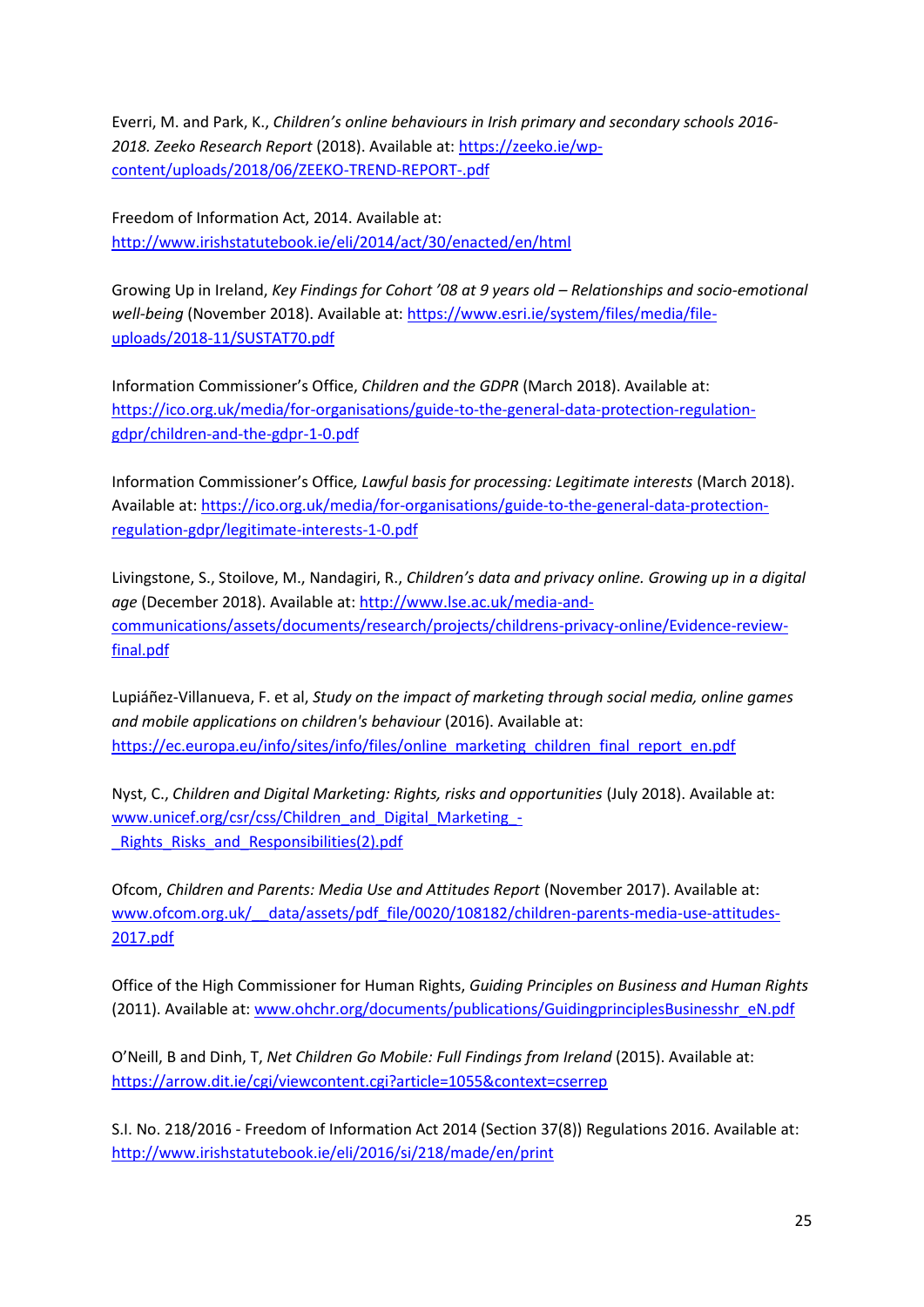Everri, M. and Park, K., *Children's online behaviours in Irish primary and secondary schools 2016- 2018. Zeeko Research Report* (2018). Available at[: https://zeeko.ie/wp](https://zeeko.ie/wp-content/uploads/2018/06/ZEEKO-TREND-REPORT-.pdf)[content/uploads/2018/06/ZEEKO-TREND-REPORT-.pdf](https://zeeko.ie/wp-content/uploads/2018/06/ZEEKO-TREND-REPORT-.pdf)

Freedom of Information Act, 2014. Available at: <http://www.irishstatutebook.ie/eli/2014/act/30/enacted/en/html>

Growing Up in Ireland, *Key Findings for Cohort '08 at 9 years old – Relationships and socio-emotional well-being* (November 2018). Available at: [https://www.esri.ie/system/files/media/file](https://www.esri.ie/system/files/media/file-uploads/2018-11/SUSTAT70.pdf)[uploads/2018-11/SUSTAT70.pdf](https://www.esri.ie/system/files/media/file-uploads/2018-11/SUSTAT70.pdf)

Information Commissioner's Office, *Children and the GDPR* (March 2018). Available at: [https://ico.org.uk/media/for-organisations/guide-to-the-general-data-protection-regulation](https://ico.org.uk/media/for-organisations/guide-to-the-general-data-protection-regulation-gdpr/children-and-the-gdpr-1-0.pdf)[gdpr/children-and-the-gdpr-1-0.pdf](https://ico.org.uk/media/for-organisations/guide-to-the-general-data-protection-regulation-gdpr/children-and-the-gdpr-1-0.pdf)

Information Commissioner's Office*, Lawful basis for processing: Legitimate interests* (March 2018). Available at[: https://ico.org.uk/media/for-organisations/guide-to-the-general-data-protection](https://ico.org.uk/media/for-organisations/guide-to-the-general-data-protection-regulation-gdpr/legitimate-interests-1-0.pdf)[regulation-gdpr/legitimate-interests-1-0.pdf](https://ico.org.uk/media/for-organisations/guide-to-the-general-data-protection-regulation-gdpr/legitimate-interests-1-0.pdf)

Livingstone, S., Stoilove, M., Nandagiri, R., *Children's data and privacy online. Growing up in a digital age* (December 2018). Available at[: http://www.lse.ac.uk/media-and](http://www.lse.ac.uk/media-and-communications/assets/documents/research/projects/childrens-privacy-online/Evidence-review-final.pdf)[communications/assets/documents/research/projects/childrens-privacy-online/Evidence-review](http://www.lse.ac.uk/media-and-communications/assets/documents/research/projects/childrens-privacy-online/Evidence-review-final.pdf)[final.pdf](http://www.lse.ac.uk/media-and-communications/assets/documents/research/projects/childrens-privacy-online/Evidence-review-final.pdf)

Lupiáñez-Villanueva, F. et al, *Study on the impact of marketing through social media, online games and mobile applications on children's behaviour* (2016). Available at: https://ec.europa.eu/info/sites/info/files/online\_marketing\_children\_final\_report\_en.pdf

Nyst, C., *Children and Digital Marketing: Rights, risks and opportunities* (July 2018). Available at: [www.unicef.org/csr/css/Children\\_and\\_Digital\\_Marketing\\_-](http://www.unicef.org/csr/css/Children_and_Digital_Marketing_-_Rights_Risks_and_Responsibilities(2).pdf) Rights Risks and Responsibilities(2).pdf

Ofcom, *Children and Parents: Media Use and Attitudes Report* (November 2017). Available at: [www.ofcom.org.uk/\\_\\_data/assets/pdf\\_file/0020/108182/children-parents-media-use-attitudes-](http://www.ofcom.org.uk/__data/assets/pdf_file/0020/108182/children-parents-media-use-attitudes-2017.pdf)[2017.pdf](http://www.ofcom.org.uk/__data/assets/pdf_file/0020/108182/children-parents-media-use-attitudes-2017.pdf) 

Office of the High Commissioner for Human Rights, *Guiding Principles on Business and Human Rights* (2011). Available at: [www.ohchr.org/documents/publications/GuidingprinciplesBusinesshr\\_eN.pdf](http://www.ohchr.org/documents/publications/GuidingprinciplesBusinesshr_eN.pdf)

O'Neill, B and Dinh, T, *Net Children Go Mobile: Full Findings from Ireland* (2015). Available at: <https://arrow.dit.ie/cgi/viewcontent.cgi?article=1055&context=cserrep>

S.I. No. 218/2016 - Freedom of Information Act 2014 (Section 37(8)) Regulations 2016. Available at: <http://www.irishstatutebook.ie/eli/2016/si/218/made/en/print>